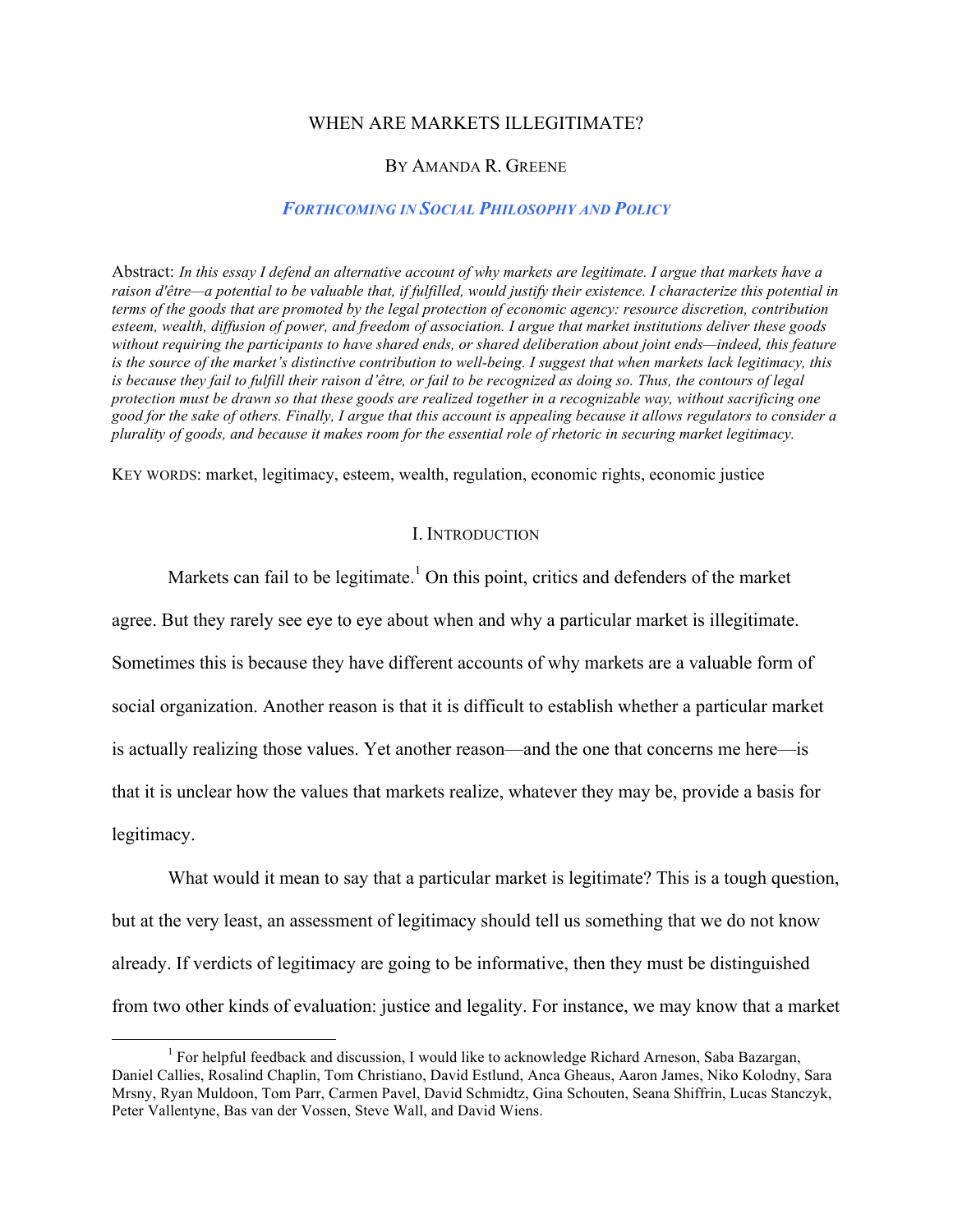#### WHEN ARE MARKETS ILLEGITIMATE?

#### BY AMANDA R. GREENE

### *FORTHCOMING IN SOCIAL PHILOSOPHY AND POLICY*

Abstract: *In this essay I defend an alternative account of why markets are legitimate. I argue that markets have a raison d'être—a potential to be valuable that, if fulfilled, would justify their existence. I characterize this potential in terms of the goods that are promoted by the legal protection of economic agency: resource discretion, contribution esteem, wealth, diffusion of power, and freedom of association. I argue that market institutions deliver these goods without requiring the participants to have shared ends, or shared deliberation about joint ends—indeed, this feature is the source of the market's distinctive contribution to well-being. I suggest that when markets lack legitimacy, this is because they fail to fulfill their raison d'être, or fail to be recognized as doing so. Thus, the contours of legal protection must be drawn so that these goods are realized together in a recognizable way, without sacrificing one good for the sake of others. Finally, I argue that this account is appealing because it allows regulators to consider a plurality of goods, and because it makes room for the essential role of rhetoric in securing market legitimacy.*

KEY WORDS: market, legitimacy, esteem, wealth, regulation, economic rights, economic justice

#### I. INTRODUCTION

Markets can fail to be legitimate.<sup>1</sup> On this point, critics and defenders of the market

agree. But they rarely see eye to eye about when and why a particular market is illegitimate.

Sometimes this is because they have different accounts of why markets are a valuable form of

social organization. Another reason is that it is difficult to establish whether a particular market

is actually realizing those values. Yet another reason—and the one that concerns me here—is

that it is unclear how the values that markets realize, whatever they may be, provide a basis for

legitimacy.

What would it mean to say that a particular market is legitimate? This is a tough question, but at the very least, an assessment of legitimacy should tell us something that we do not know already. If verdicts of legitimacy are going to be informative, then they must be distinguished from two other kinds of evaluation: justice and legality. For instance, we may know that a market

<sup>&</sup>lt;sup>1</sup> For helpful feedback and discussion, I would like to acknowledge Richard Arneson, Saba Bazargan, Daniel Callies, Rosalind Chaplin, Tom Christiano, David Estlund, Anca Gheaus, Aaron James, Niko Kolodny, Sara Mrsny, Ryan Muldoon, Tom Parr, Carmen Pavel, David Schmidtz, Gina Schouten, Seana Shiffrin, Lucas Stanczyk, Peter Vallentyne, Bas van der Vossen, Steve Wall, and David Wiens.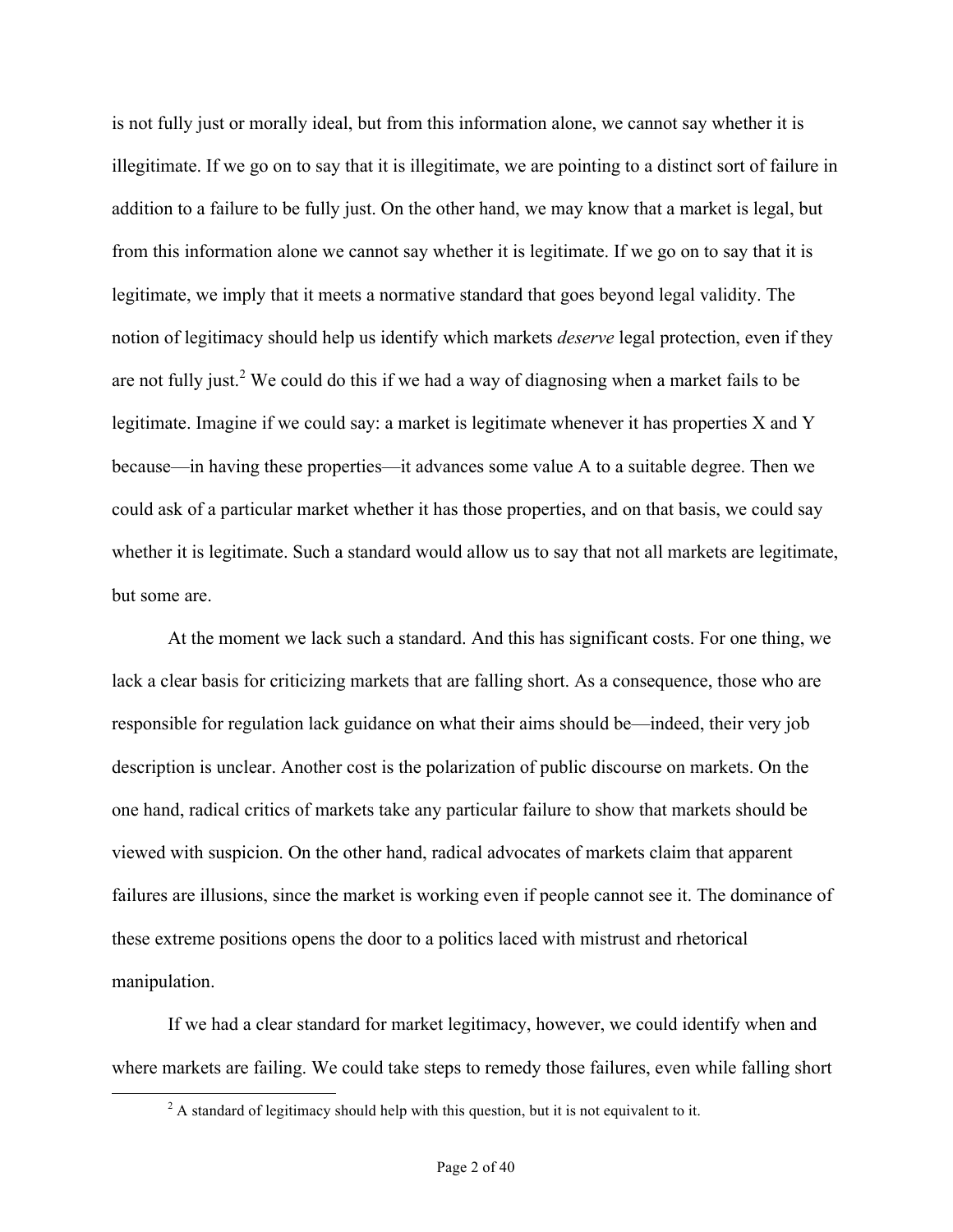is not fully just or morally ideal, but from this information alone, we cannot say whether it is illegitimate. If we go on to say that it is illegitimate, we are pointing to a distinct sort of failure in addition to a failure to be fully just. On the other hand, we may know that a market is legal, but from this information alone we cannot say whether it is legitimate. If we go on to say that it is legitimate, we imply that it meets a normative standard that goes beyond legal validity. The notion of legitimacy should help us identify which markets *deserve* legal protection, even if they are not fully just.<sup>2</sup> We could do this if we had a way of diagnosing when a market fails to be legitimate. Imagine if we could say: a market is legitimate whenever it has properties X and Y because—in having these properties—it advances some value A to a suitable degree. Then we could ask of a particular market whether it has those properties, and on that basis, we could say whether it is legitimate. Such a standard would allow us to say that not all markets are legitimate, but some are.

At the moment we lack such a standard. And this has significant costs. For one thing, we lack a clear basis for criticizing markets that are falling short. As a consequence, those who are responsible for regulation lack guidance on what their aims should be—indeed, their very job description is unclear. Another cost is the polarization of public discourse on markets. On the one hand, radical critics of markets take any particular failure to show that markets should be viewed with suspicion. On the other hand, radical advocates of markets claim that apparent failures are illusions, since the market is working even if people cannot see it. The dominance of these extreme positions opens the door to a politics laced with mistrust and rhetorical manipulation.

If we had a clear standard for market legitimacy, however, we could identify when and where markets are failing. We could take steps to remedy those failures, even while falling short

<sup>&</sup>lt;sup>2</sup> A standard of legitimacy should help with this question, but it is not equivalent to it.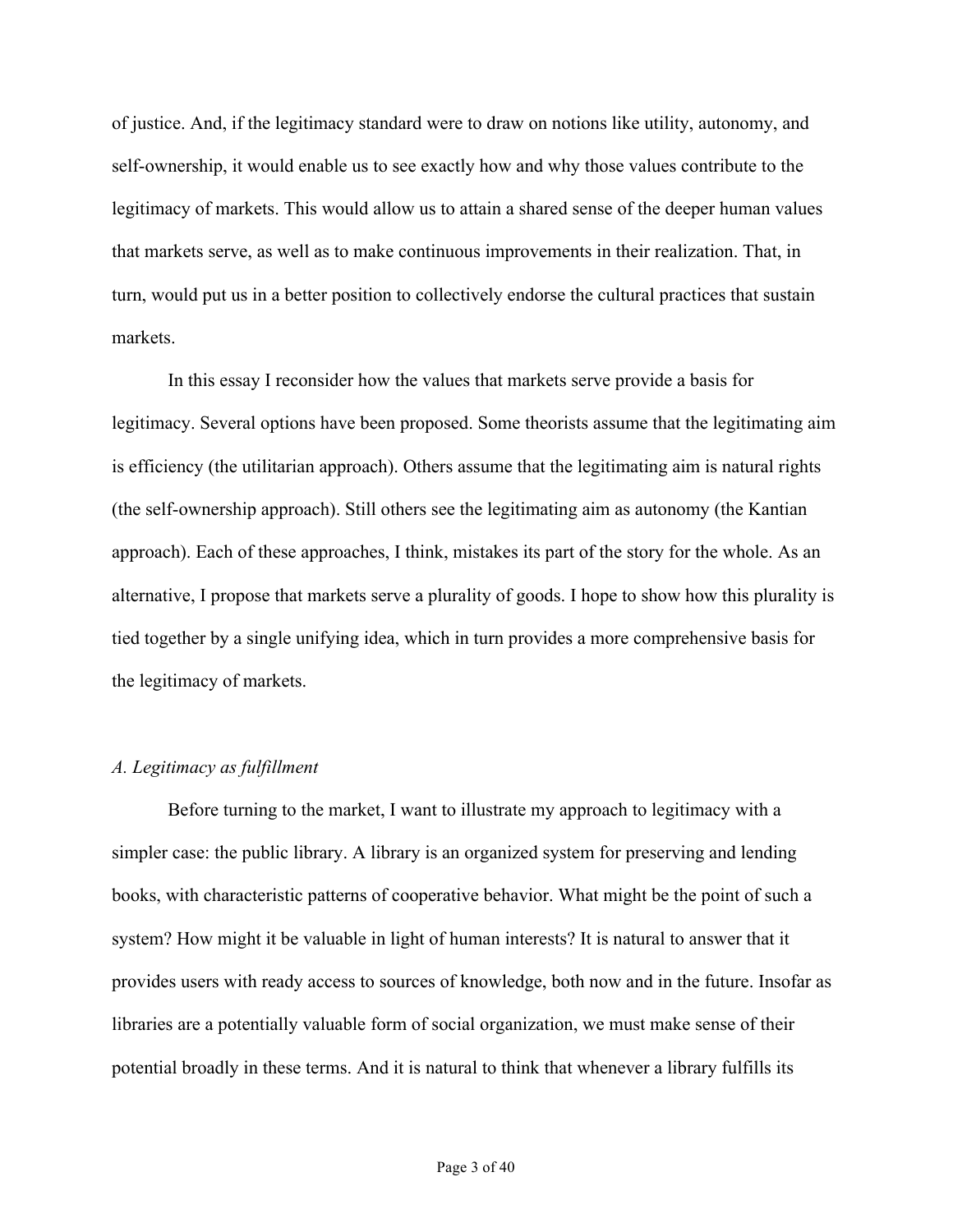of justice. And, if the legitimacy standard were to draw on notions like utility, autonomy, and self-ownership, it would enable us to see exactly how and why those values contribute to the legitimacy of markets. This would allow us to attain a shared sense of the deeper human values that markets serve, as well as to make continuous improvements in their realization. That, in turn, would put us in a better position to collectively endorse the cultural practices that sustain markets.

In this essay I reconsider how the values that markets serve provide a basis for legitimacy. Several options have been proposed. Some theorists assume that the legitimating aim is efficiency (the utilitarian approach). Others assume that the legitimating aim is natural rights (the self-ownership approach). Still others see the legitimating aim as autonomy (the Kantian approach). Each of these approaches, I think, mistakes its part of the story for the whole. As an alternative, I propose that markets serve a plurality of goods. I hope to show how this plurality is tied together by a single unifying idea, which in turn provides a more comprehensive basis for the legitimacy of markets.

## *A. Legitimacy as fulfillment*

Before turning to the market, I want to illustrate my approach to legitimacy with a simpler case: the public library. A library is an organized system for preserving and lending books, with characteristic patterns of cooperative behavior. What might be the point of such a system? How might it be valuable in light of human interests? It is natural to answer that it provides users with ready access to sources of knowledge, both now and in the future. Insofar as libraries are a potentially valuable form of social organization, we must make sense of their potential broadly in these terms. And it is natural to think that whenever a library fulfills its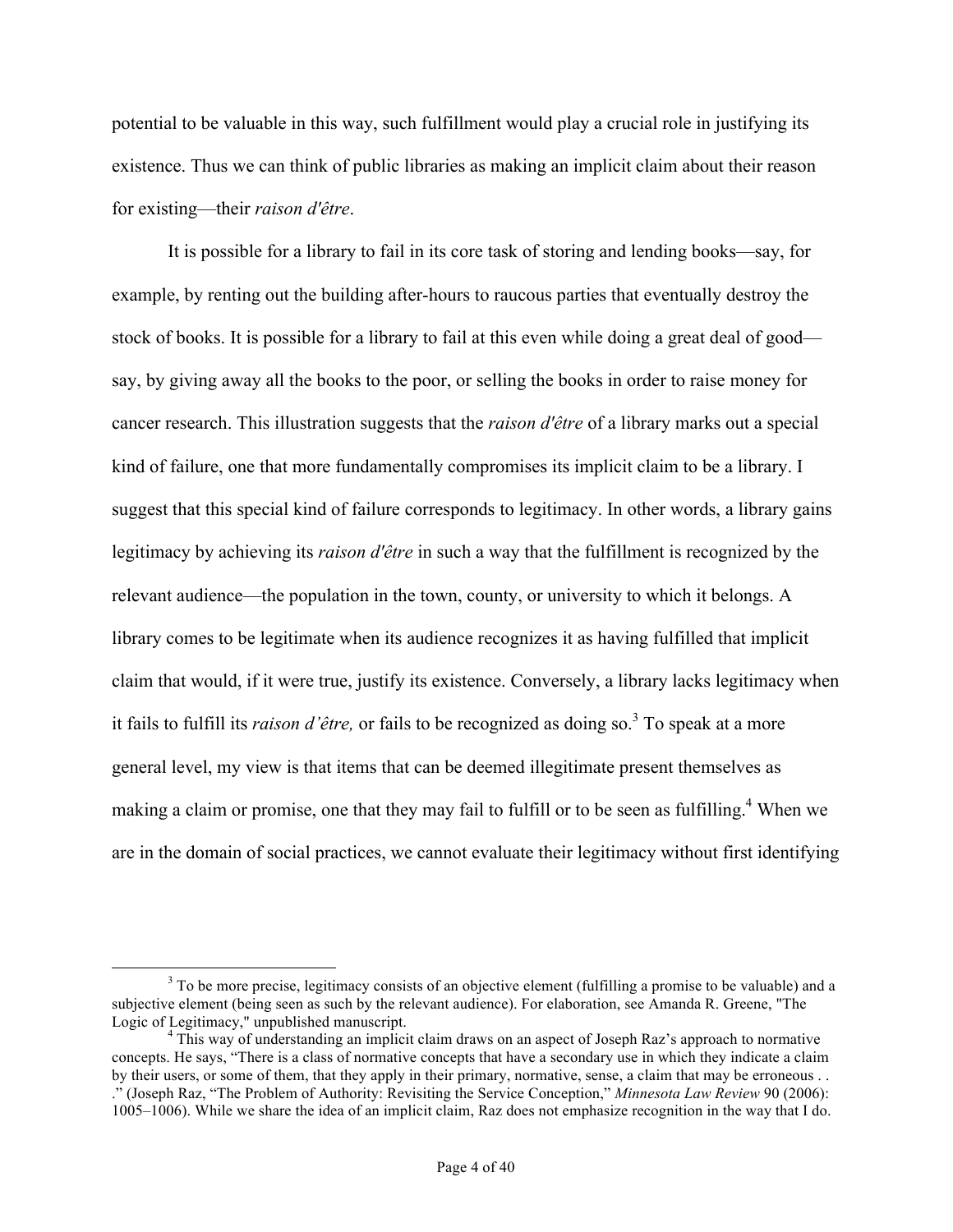potential to be valuable in this way, such fulfillment would play a crucial role in justifying its existence. Thus we can think of public libraries as making an implicit claim about their reason for existing—their *raison d'être*.

It is possible for a library to fail in its core task of storing and lending books—say, for example, by renting out the building after-hours to raucous parties that eventually destroy the stock of books. It is possible for a library to fail at this even while doing a great deal of good say, by giving away all the books to the poor, or selling the books in order to raise money for cancer research. This illustration suggests that the *raison d'être* of a library marks out a special kind of failure, one that more fundamentally compromises its implicit claim to be a library. I suggest that this special kind of failure corresponds to legitimacy. In other words, a library gains legitimacy by achieving its *raison d'être* in such a way that the fulfillment is recognized by the relevant audience—the population in the town, county, or university to which it belongs. A library comes to be legitimate when its audience recognizes it as having fulfilled that implicit claim that would, if it were true, justify its existence. Conversely, a library lacks legitimacy when it fails to fulfill its *raison d'être*, or fails to be recognized as doing so.<sup>3</sup> To speak at a more general level, my view is that items that can be deemed illegitimate present themselves as making a claim or promise, one that they may fail to fulfill or to be seen as fulfilling.<sup>4</sup> When we are in the domain of social practices, we cannot evaluate their legitimacy without first identifying

<sup>&</sup>lt;sup>3</sup> To be more precise, legitimacy consists of an objective element (fulfilling a promise to be valuable) and a subjective element (being seen as such by the relevant audience). For elaboration, see Amanda R. Greene, "The Logic of Legitimacy," unpublished manuscript.

<sup>&</sup>lt;sup>4</sup> This way of understanding an implicit claim draws on an aspect of Joseph Raz's approach to normative concepts. He says, "There is a class of normative concepts that have a secondary use in which they indicate a claim by their users, or some of them, that they apply in their primary, normative, sense, a claim that may be erroneous . . ." (Joseph Raz, "The Problem of Authority: Revisiting the Service Conception," *Minnesota Law Review* 90 (2006): 1005–1006). While we share the idea of an implicit claim, Raz does not emphasize recognition in the way that I do.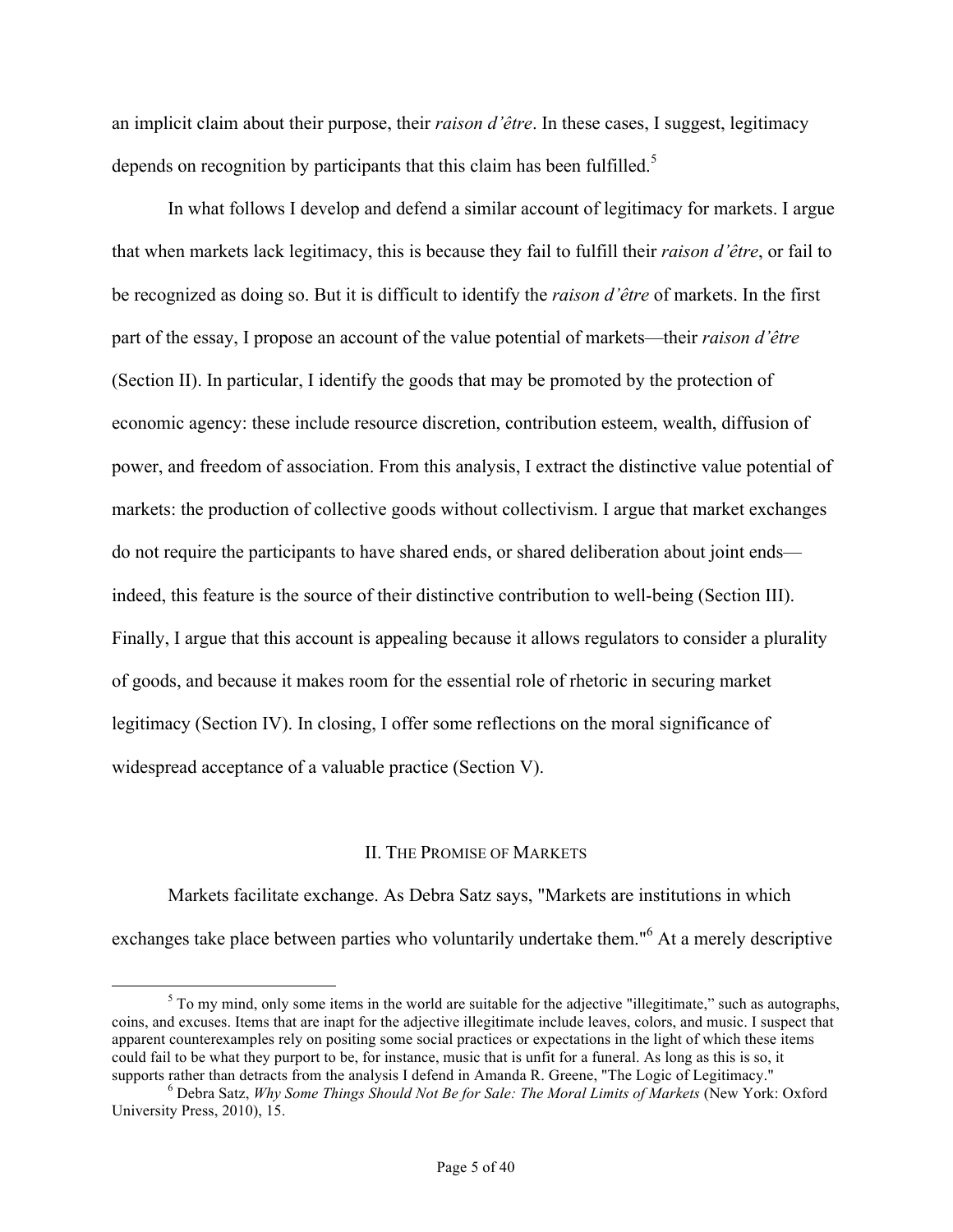an implicit claim about their purpose, their *raison d'être*. In these cases, I suggest, legitimacy depends on recognition by participants that this claim has been fulfilled.<sup>5</sup>

In what follows I develop and defend a similar account of legitimacy for markets. I argue that when markets lack legitimacy, this is because they fail to fulfill their *raison d'être*, or fail to be recognized as doing so. But it is difficult to identify the *raison d'être* of markets. In the first part of the essay, I propose an account of the value potential of markets—their *raison d'être* (Section II). In particular, I identify the goods that may be promoted by the protection of economic agency: these include resource discretion, contribution esteem, wealth, diffusion of power, and freedom of association. From this analysis, I extract the distinctive value potential of markets: the production of collective goods without collectivism. I argue that market exchanges do not require the participants to have shared ends, or shared deliberation about joint ends indeed, this feature is the source of their distinctive contribution to well-being (Section III). Finally, I argue that this account is appealing because it allows regulators to consider a plurality of goods, and because it makes room for the essential role of rhetoric in securing market legitimacy (Section IV). In closing, I offer some reflections on the moral significance of widespread acceptance of a valuable practice (Section V).

#### II. THE PROMISE OF MARKETS

Markets facilitate exchange. As Debra Satz says, "Markets are institutions in which exchanges take place between parties who voluntarily undertake them."<sup>6</sup> At a merely descriptive

 $5$  To my mind, only some items in the world are suitable for the adjective "illegitimate," such as autographs, coins, and excuses. Items that are inapt for the adjective illegitimate include leaves, colors, and music. I suspect that apparent counterexamples rely on positing some social practices or expectations in the light of which these items could fail to be what they purport to be, for instance, music that is unfit for a funeral. As long as this is so, it supports rather than detracts from the analysis I defend in Amanda R. Greene, "The Logic of Legitimacy."

<sup>&</sup>lt;sup>6</sup> Debra Satz, *Why Some Things Should Not Be for Sale: The Moral Limits of Markets* (New York: Oxford University Press, 2010), 15.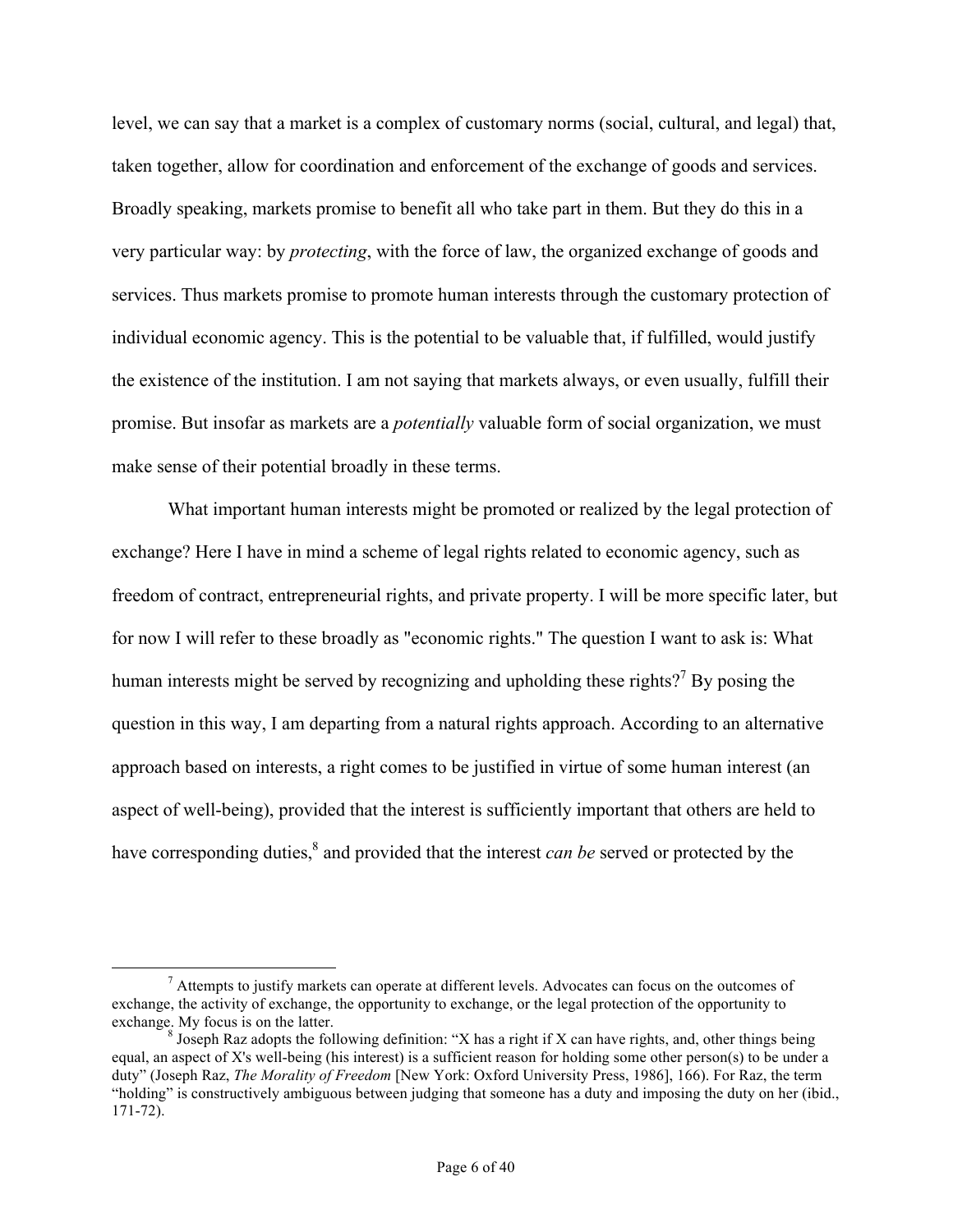level, we can say that a market is a complex of customary norms (social, cultural, and legal) that, taken together, allow for coordination and enforcement of the exchange of goods and services. Broadly speaking, markets promise to benefit all who take part in them. But they do this in a very particular way: by *protecting*, with the force of law, the organized exchange of goods and services. Thus markets promise to promote human interests through the customary protection of individual economic agency. This is the potential to be valuable that, if fulfilled, would justify the existence of the institution. I am not saying that markets always, or even usually, fulfill their promise. But insofar as markets are a *potentially* valuable form of social organization, we must make sense of their potential broadly in these terms.

What important human interests might be promoted or realized by the legal protection of exchange? Here I have in mind a scheme of legal rights related to economic agency, such as freedom of contract, entrepreneurial rights, and private property. I will be more specific later, but for now I will refer to these broadly as "economic rights." The question I want to ask is: What human interests might be served by recognizing and upholding these rights?<sup>7</sup> By posing the question in this way, I am departing from a natural rights approach. According to an alternative approach based on interests, a right comes to be justified in virtue of some human interest (an aspect of well-being), provided that the interest is sufficiently important that others are held to have corresponding duties,<sup>8</sup> and provided that the interest *can be* served or protected by the

 $<sup>7</sup>$  Attempts to justify markets can operate at different levels. Advocates can focus on the outcomes of</sup> exchange, the activity of exchange, the opportunity to exchange, or the legal protection of the opportunity to

<sup>&</sup>lt;sup>8</sup> Joseph Raz adopts the following definition: "X has a right if X can have rights, and, other things being equal, an aspect of X's well-being (his interest) is a sufficient reason for holding some other person(s) to be under a duty" (Joseph Raz, *The Morality of Freedom* [New York: Oxford University Press, 1986], 166). For Raz, the term "holding" is constructively ambiguous between judging that someone has a duty and imposing the duty on her (ibid., 171-72).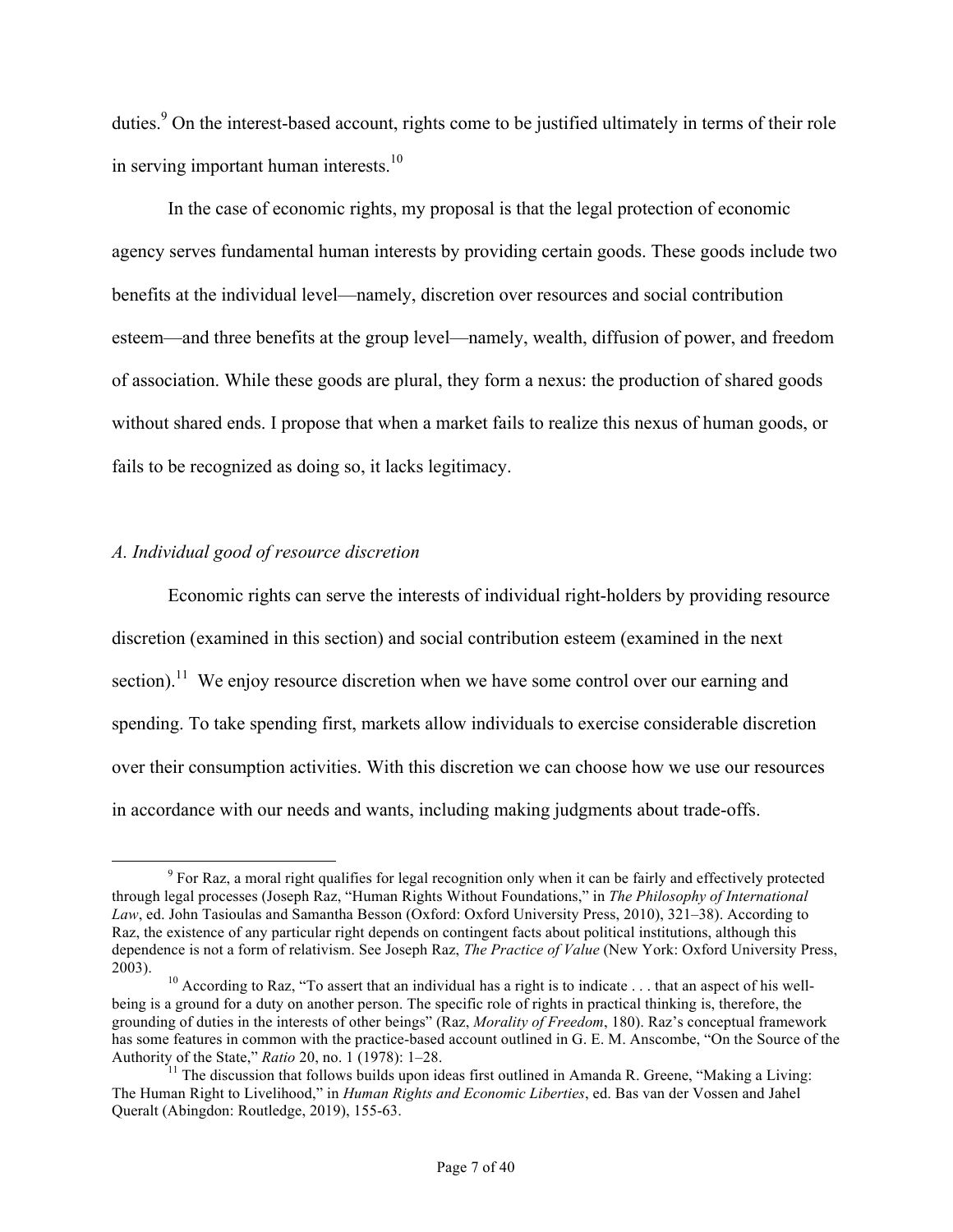duties.<sup>9</sup> On the interest-based account, rights come to be justified ultimately in terms of their role in serving important human interests. $10$ 

In the case of economic rights, my proposal is that the legal protection of economic agency serves fundamental human interests by providing certain goods. These goods include two benefits at the individual level—namely, discretion over resources and social contribution esteem—and three benefits at the group level—namely, wealth, diffusion of power, and freedom of association. While these goods are plural, they form a nexus: the production of shared goods without shared ends. I propose that when a market fails to realize this nexus of human goods, or fails to be recognized as doing so, it lacks legitimacy.

### *A. Individual good of resource discretion*

Economic rights can serve the interests of individual right-holders by providing resource discretion (examined in this section) and social contribution esteem (examined in the next section).<sup>11</sup> We enjoy resource discretion when we have some control over our earning and spending. To take spending first, markets allow individuals to exercise considerable discretion over their consumption activities. With this discretion we can choose how we use our resources in accordance with our needs and wants, including making judgments about trade-offs.

 <sup>9</sup> For Raz, a moral right qualifies for legal recognition only when it can be fairly and effectively protected through legal processes (Joseph Raz, "Human Rights Without Foundations," in *The Philosophy of International Law*, ed. John Tasioulas and Samantha Besson (Oxford: Oxford University Press, 2010), 321–38). According to Raz, the existence of any particular right depends on contingent facts about political institutions, although this dependence is not a form of relativism. See Joseph Raz, *The Practice of Value* (New York: Oxford University Press, 2003). <sup>10</sup> According to Raz, "To assert that an individual has a right is to indicate . . . that an aspect of his well-

being is a ground for a duty on another person. The specific role of rights in practical thinking is, therefore, the grounding of duties in the interests of other beings" (Raz, *Morality of Freedom*, 180). Raz's conceptual framework has some features in common with the practice-based account outlined in G. E. M. Anscombe, "On the Source of the Authority of the State," *Ratio* 20, no. 1 (1978): 1–28.<br><sup>11</sup> The discussion that follows builds upon ideas first outlined in Amanda R. Greene, "Making a Living:

The Human Right to Livelihood," in *Human Rights and Economic Liberties*, ed. Bas van der Vossen and Jahel Queralt (Abingdon: Routledge, 2019), 155-63.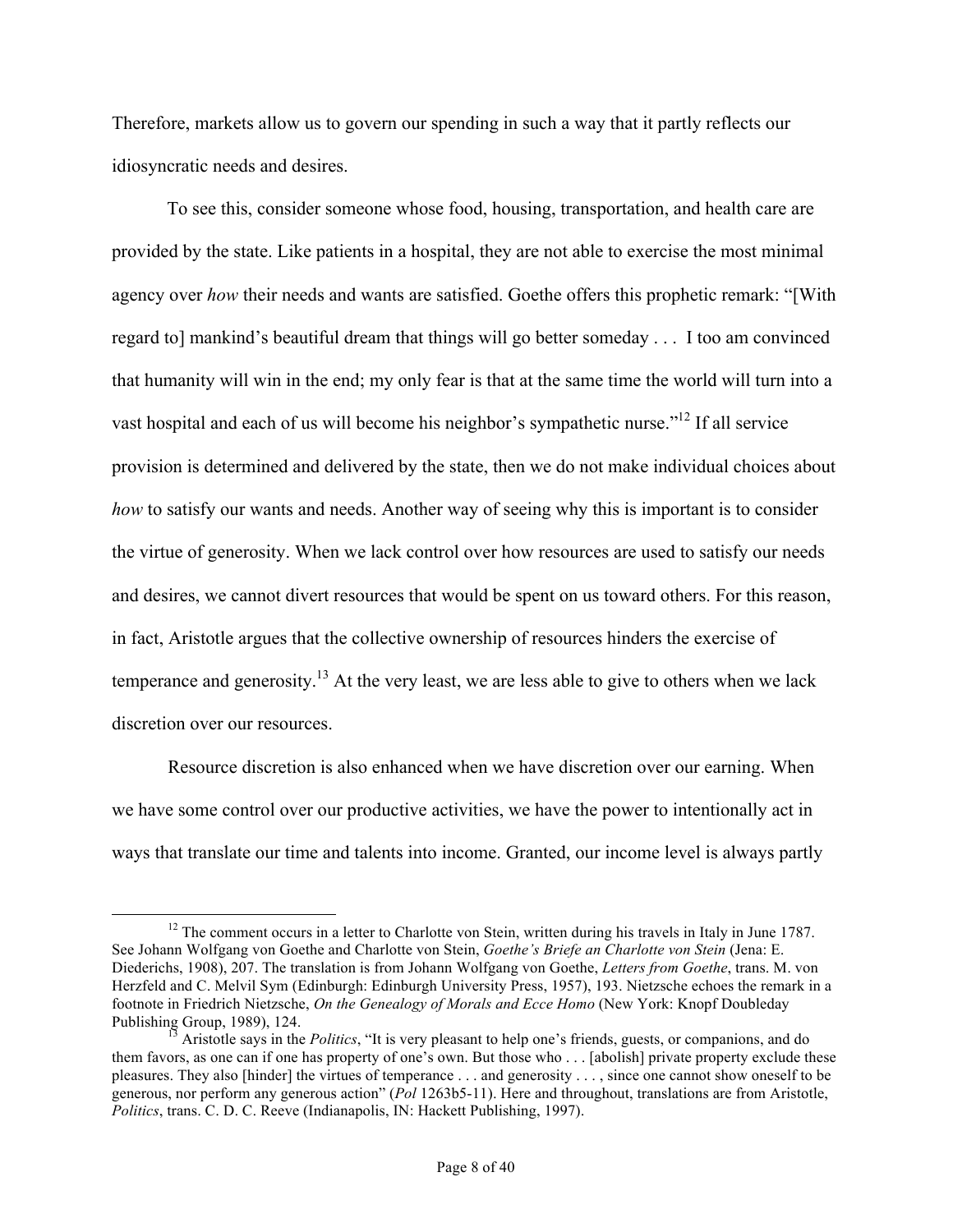Therefore, markets allow us to govern our spending in such a way that it partly reflects our idiosyncratic needs and desires.

To see this, consider someone whose food, housing, transportation, and health care are provided by the state. Like patients in a hospital, they are not able to exercise the most minimal agency over *how* their needs and wants are satisfied. Goethe offers this prophetic remark: "[With regard to] mankind's beautiful dream that things will go better someday . . . I too am convinced that humanity will win in the end; my only fear is that at the same time the world will turn into a vast hospital and each of us will become his neighbor's sympathetic nurse."12 If all service provision is determined and delivered by the state, then we do not make individual choices about *how* to satisfy our wants and needs. Another way of seeing why this is important is to consider the virtue of generosity. When we lack control over how resources are used to satisfy our needs and desires, we cannot divert resources that would be spent on us toward others. For this reason, in fact, Aristotle argues that the collective ownership of resources hinders the exercise of temperance and generosity.<sup>13</sup> At the very least, we are less able to give to others when we lack discretion over our resources.

Resource discretion is also enhanced when we have discretion over our earning. When we have some control over our productive activities, we have the power to intentionally act in ways that translate our time and talents into income. Granted, our income level is always partly

<sup>&</sup>lt;sup>12</sup> The comment occurs in a letter to Charlotte von Stein, written during his travels in Italy in June 1787. See Johann Wolfgang von Goethe and Charlotte von Stein, *Goethe's Briefe an Charlotte von Stein* (Jena: E. Diederichs, 1908), 207. The translation is from Johann Wolfgang von Goethe, *Letters from Goethe*, trans. M. von Herzfeld and C. Melvil Sym (Edinburgh: Edinburgh University Press, 1957), 193. Nietzsche echoes the remark in a footnote in Friedrich Nietzsche, *On the Genealogy of Morals and Ecce Homo* (New York: Knopf Doubleday Publishing Group, 1989), 124.<br><sup>13</sup> Aristotle says in the *Politics*, "It is very pleasant to help one's friends, guests, or companions, and do

them favors, as one can if one has property of one's own. But those who . . . [abolish] private property exclude these pleasures. They also [hinder] the virtues of temperance . . . and generosity . . . , since one cannot show oneself to be generous, nor perform any generous action" (*Pol* 1263b5-11). Here and throughout, translations are from Aristotle, *Politics*, trans. C. D. C. Reeve (Indianapolis, IN: Hackett Publishing, 1997).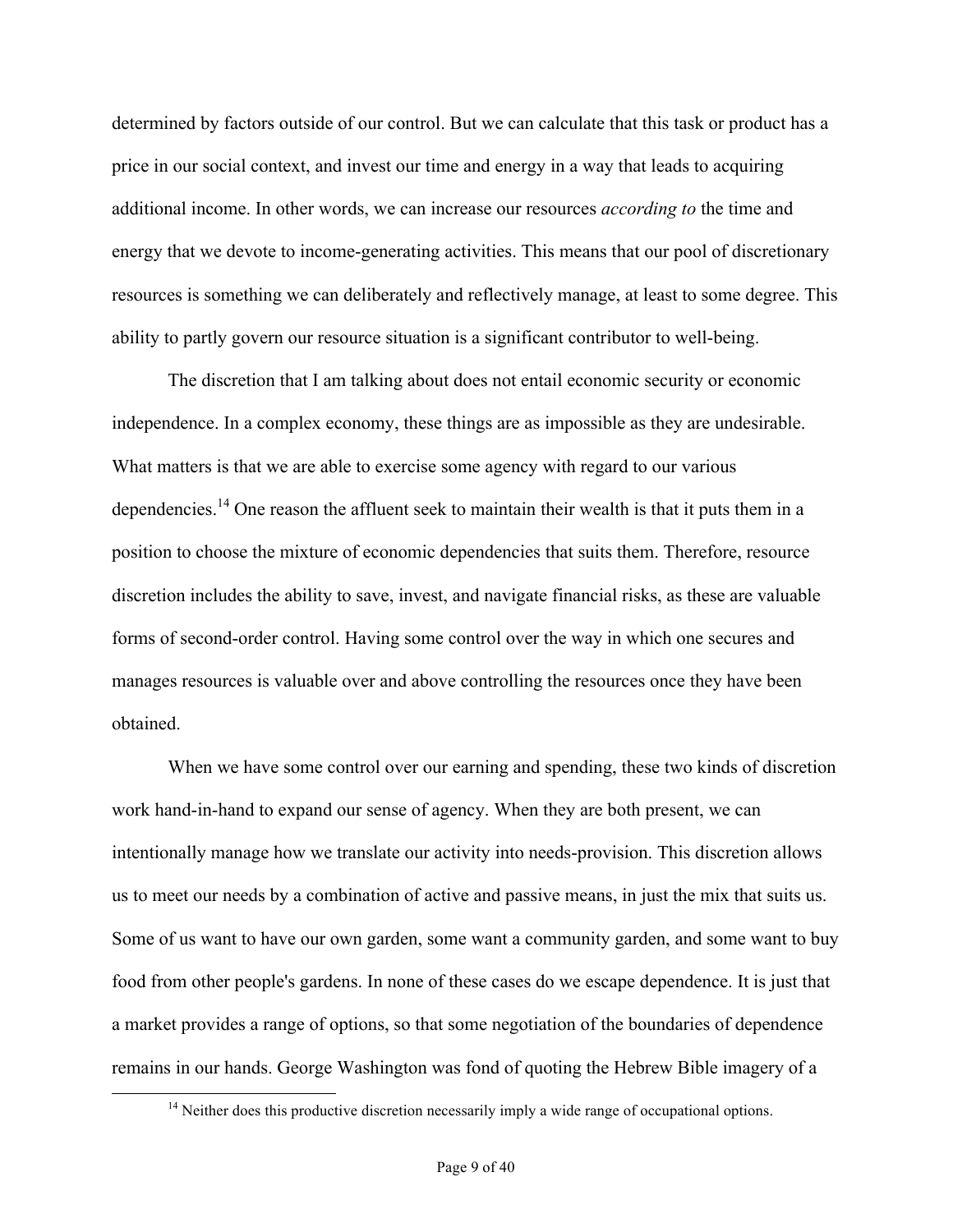determined by factors outside of our control. But we can calculate that this task or product has a price in our social context, and invest our time and energy in a way that leads to acquiring additional income. In other words, we can increase our resources *according to* the time and energy that we devote to income-generating activities. This means that our pool of discretionary resources is something we can deliberately and reflectively manage, at least to some degree. This ability to partly govern our resource situation is a significant contributor to well-being.

The discretion that I am talking about does not entail economic security or economic independence. In a complex economy, these things are as impossible as they are undesirable. What matters is that we are able to exercise some agency with regard to our various dependencies.<sup>14</sup> One reason the affluent seek to maintain their wealth is that it puts them in a position to choose the mixture of economic dependencies that suits them. Therefore, resource discretion includes the ability to save, invest, and navigate financial risks, as these are valuable forms of second-order control. Having some control over the way in which one secures and manages resources is valuable over and above controlling the resources once they have been obtained.

When we have some control over our earning and spending, these two kinds of discretion work hand-in-hand to expand our sense of agency. When they are both present, we can intentionally manage how we translate our activity into needs-provision. This discretion allows us to meet our needs by a combination of active and passive means, in just the mix that suits us. Some of us want to have our own garden, some want a community garden, and some want to buy food from other people's gardens. In none of these cases do we escape dependence. It is just that a market provides a range of options, so that some negotiation of the boundaries of dependence remains in our hands. George Washington was fond of quoting the Hebrew Bible imagery of a

<sup>&</sup>lt;sup>14</sup> Neither does this productive discretion necessarily imply a wide range of occupational options.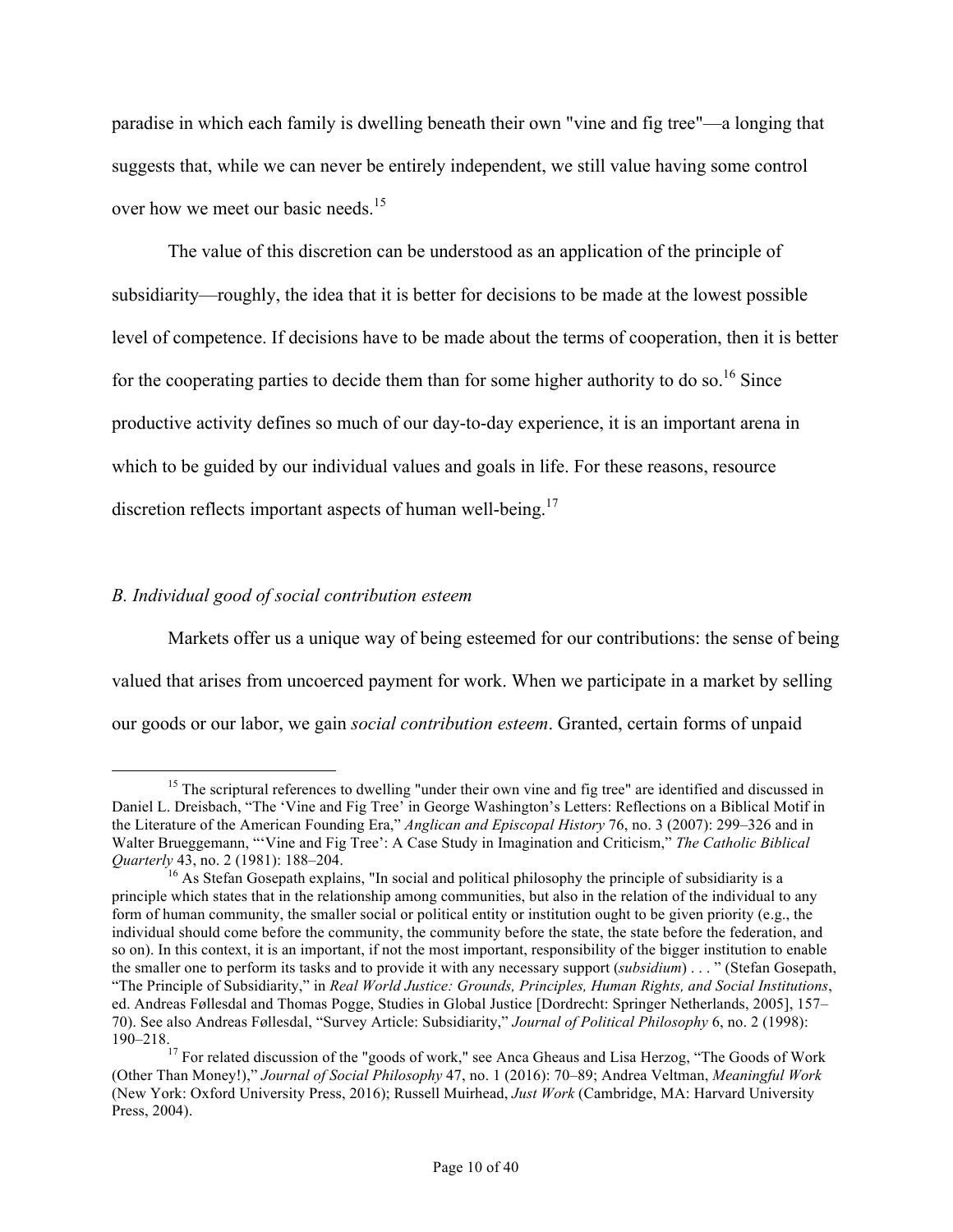paradise in which each family is dwelling beneath their own "vine and fig tree"—a longing that suggests that, while we can never be entirely independent, we still value having some control over how we meet our basic needs.<sup>15</sup>

The value of this discretion can be understood as an application of the principle of subsidiarity—roughly, the idea that it is better for decisions to be made at the lowest possible level of competence. If decisions have to be made about the terms of cooperation, then it is better for the cooperating parties to decide them than for some higher authority to do so.<sup>16</sup> Since productive activity defines so much of our day-to-day experience, it is an important arena in which to be guided by our individual values and goals in life. For these reasons, resource discretion reflects important aspects of human well-being.<sup>17</sup>

# *B. Individual good of social contribution esteem*

Markets offer us a unique way of being esteemed for our contributions: the sense of being valued that arises from uncoerced payment for work. When we participate in a market by selling our goods or our labor, we gain *social contribution esteem*. Granted, certain forms of unpaid

<sup>&</sup>lt;sup>15</sup> The scriptural references to dwelling "under their own vine and fig tree" are identified and discussed in Daniel L. Dreisbach, "The 'Vine and Fig Tree' in George Washington's Letters: Reflections on a Biblical Motif in the Literature of the American Founding Era," *Anglican and Episcopal History* 76, no. 3 (2007): 299–326 and in Walter Brueggemann, "'Vine and Fig Tree': A Case Study in Imagination and Criticism," *The Catholic Biblical Quarterly* 43, no. 2 (1981): 188–204.

<sup>&</sup>lt;sup>16</sup> As Stefan Gosepath explains, "In social and political philosophy the principle of subsidiarity is a principle which states that in the relationship among communities, but also in the relation of the individual to any form of human community, the smaller social or political entity or institution ought to be given priority (e.g., the individual should come before the community, the community before the state, the state before the federation, and so on). In this context, it is an important, if not the most important, responsibility of the bigger institution to enable the smaller one to perform its tasks and to provide it with any necessary support (*subsidium*) . . . " (Stefan Gosepath, "The Principle of Subsidiarity," in *Real World Justice: Grounds, Principles, Human Rights, and Social Institutions*, ed. Andreas Føllesdal and Thomas Pogge, Studies in Global Justice [Dordrecht: Springer Netherlands, 2005], 157– 70). See also Andreas Føllesdal, "Survey Article: Subsidiarity," *Journal of Political Philosophy* 6, no. 2 (1998):

<sup>190–218.&</sup>lt;br><sup>17</sup> For related discussion of the "goods of work," see Anca Gheaus and Lisa Herzog, "The Goods of Work (Other Than Money!)," *Journal of Social Philosophy* 47, no. 1 (2016): 70–89; Andrea Veltman, *Meaningful Work* (New York: Oxford University Press, 2016); Russell Muirhead, *Just Work* (Cambridge, MA: Harvard University Press, 2004).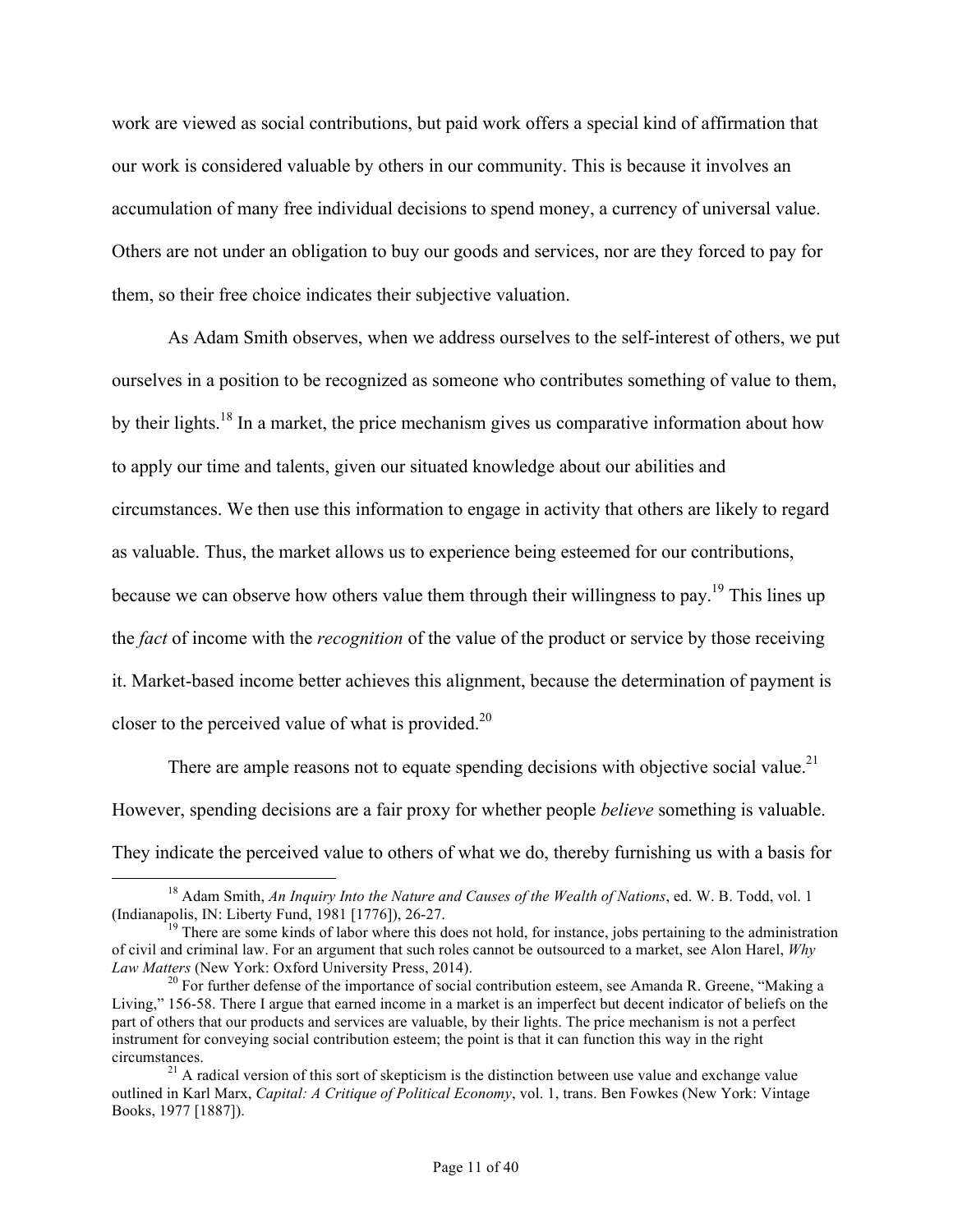work are viewed as social contributions, but paid work offers a special kind of affirmation that our work is considered valuable by others in our community. This is because it involves an accumulation of many free individual decisions to spend money, a currency of universal value. Others are not under an obligation to buy our goods and services, nor are they forced to pay for them, so their free choice indicates their subjective valuation.

As Adam Smith observes, when we address ourselves to the self-interest of others, we put ourselves in a position to be recognized as someone who contributes something of value to them, by their lights.<sup>18</sup> In a market, the price mechanism gives us comparative information about how to apply our time and talents, given our situated knowledge about our abilities and circumstances. We then use this information to engage in activity that others are likely to regard as valuable. Thus, the market allows us to experience being esteemed for our contributions, because we can observe how others value them through their willingness to pay.<sup>19</sup> This lines up the *fact* of income with the *recognition* of the value of the product or service by those receiving it. Market-based income better achieves this alignment, because the determination of payment is closer to the perceived value of what is provided.<sup>20</sup>

There are ample reasons not to equate spending decisions with objective social value.<sup>21</sup> However, spending decisions are a fair proxy for whether people *believe* something is valuable. They indicate the perceived value to others of what we do, thereby furnishing us with a basis for

<sup>&</sup>lt;sup>18</sup> Adam Smith, *An Inquiry Into the Nature and Causes of the Wealth of Nations*, ed. W. B. Todd, vol. 1 (Indianapolis, IN: Liberty Fund, 1981 [1776]), 26-27.

 $<sup>19</sup>$  There are some kinds of labor where this does not hold, for instance, jobs pertaining to the administration</sup> of civil and criminal law. For an argument that such roles cannot be outsourced to a market, see Alon Harel, *Why* 

<sup>&</sup>lt;sup>20</sup> For further defense of the importance of social contribution esteem, see Amanda R. Greene, "Making a Living," 156-58. There I argue that earned income in a market is an imperfect but decent indicator of beliefs on the part of others that our products and services are valuable, by their lights. The price mechanism is not a perfect instrument for conveying social contribution esteem; the point is that it can function this way in the right circumstances.<br><sup>21</sup> A radical version of this sort of skepticism is the distinction between use value and exchange value

outlined in Karl Marx, *Capital: A Critique of Political Economy*, vol. 1, trans. Ben Fowkes (New York: Vintage Books, 1977 [1887]).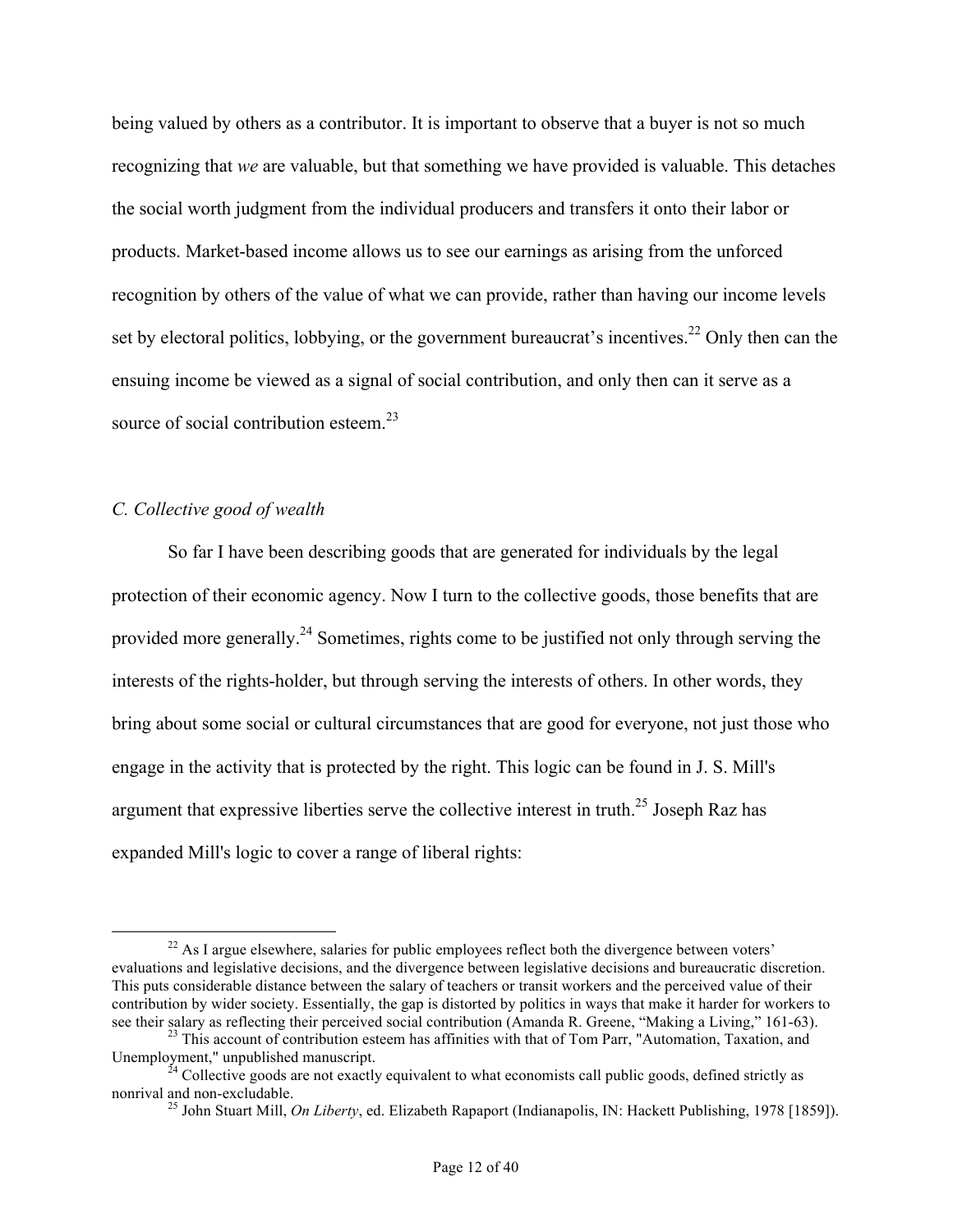being valued by others as a contributor. It is important to observe that a buyer is not so much recognizing that *we* are valuable, but that something we have provided is valuable. This detaches the social worth judgment from the individual producers and transfers it onto their labor or products. Market-based income allows us to see our earnings as arising from the unforced recognition by others of the value of what we can provide, rather than having our income levels set by electoral politics, lobbying, or the government bureaucrat's incentives.<sup>22</sup> Only then can the ensuing income be viewed as a signal of social contribution, and only then can it serve as a source of social contribution esteem. $^{23}$ 

# *C. Collective good of wealth*

So far I have been describing goods that are generated for individuals by the legal protection of their economic agency. Now I turn to the collective goods, those benefits that are provided more generally.<sup>24</sup> Sometimes, rights come to be justified not only through serving the interests of the rights-holder, but through serving the interests of others. In other words, they bring about some social or cultural circumstances that are good for everyone, not just those who engage in the activity that is protected by the right. This logic can be found in J. S. Mill's argument that expressive liberties serve the collective interest in truth.<sup>25</sup> Joseph Raz has expanded Mill's logic to cover a range of liberal rights:

 $^{22}$  As I argue elsewhere, salaries for public employees reflect both the divergence between voters' evaluations and legislative decisions, and the divergence between legislative decisions and bureaucratic discretion. This puts considerable distance between the salary of teachers or transit workers and the perceived value of their contribution by wider society. Essentially, the gap is distorted by politics in ways that make it harder for workers to see their salary as reflecting their perceived social contribution (Amanda R. Greene, "Making a Living

<sup>&</sup>lt;sup>23</sup> This account of contribution esteem has affinities with that of Tom Parr, "Automation, Taxation, and Unemployment," unpublished manuscript.

 $^{24}$  Collective goods are not exactly equivalent to what economists call public goods, defined strictly as nonrival and non-excludable.

<sup>&</sup>lt;sup>25</sup> John Stuart Mill, *On Liberty*, ed. Elizabeth Rapaport (Indianapolis, IN: Hackett Publishing, 1978 [1859]).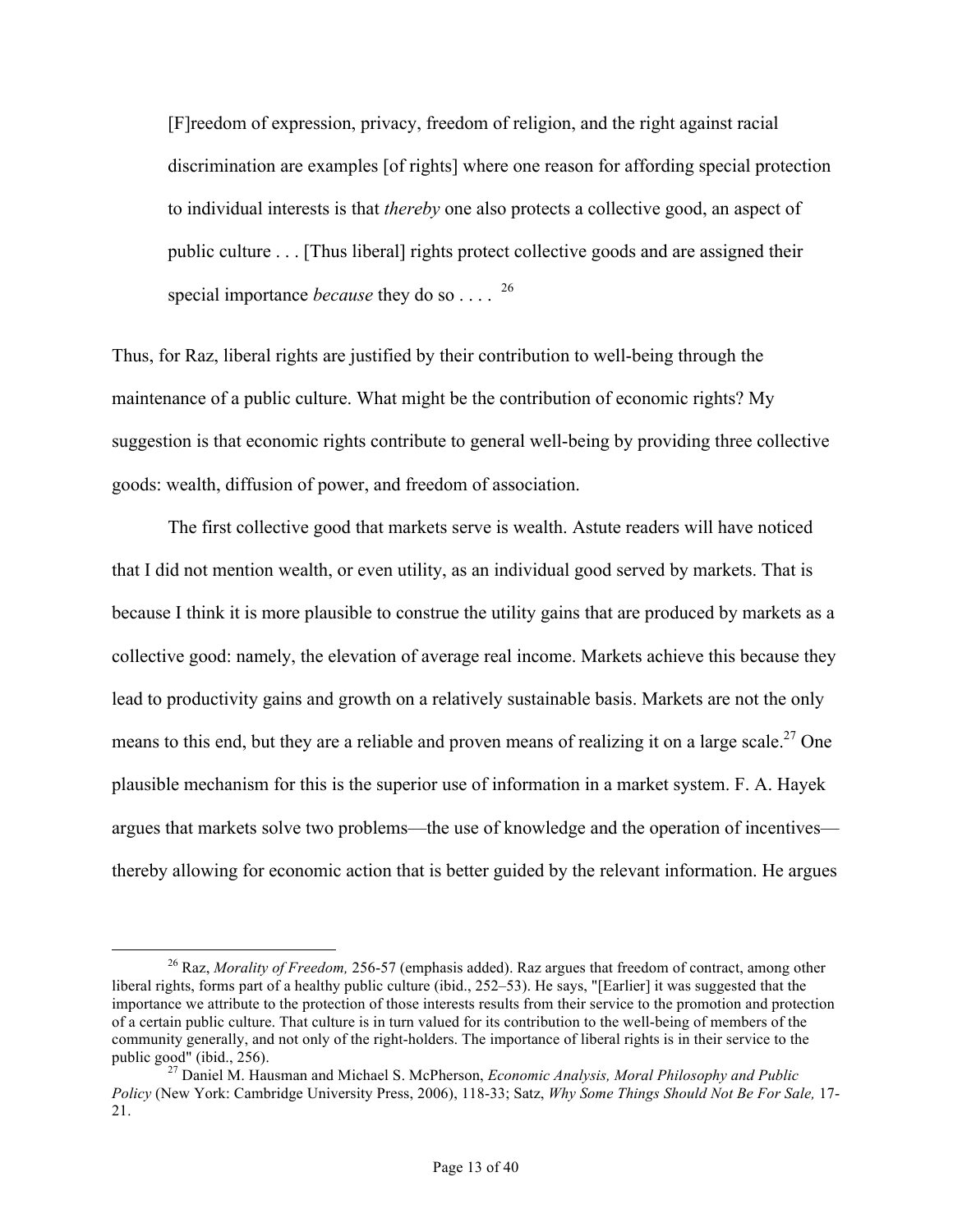[F]reedom of expression, privacy, freedom of religion, and the right against racial discrimination are examples [of rights] where one reason for affording special protection to individual interests is that *thereby* one also protects a collective good, an aspect of public culture . . . [Thus liberal] rights protect collective goods and are assigned their special importance *because* they do so . . . . <sup>26</sup>

Thus, for Raz, liberal rights are justified by their contribution to well-being through the maintenance of a public culture. What might be the contribution of economic rights? My suggestion is that economic rights contribute to general well-being by providing three collective goods: wealth, diffusion of power, and freedom of association.

The first collective good that markets serve is wealth. Astute readers will have noticed that I did not mention wealth, or even utility, as an individual good served by markets. That is because I think it is more plausible to construe the utility gains that are produced by markets as a collective good: namely, the elevation of average real income. Markets achieve this because they lead to productivity gains and growth on a relatively sustainable basis. Markets are not the only means to this end, but they are a reliable and proven means of realizing it on a large scale.<sup>27</sup> One plausible mechanism for this is the superior use of information in a market system. F. A. Hayek argues that markets solve two problems—the use of knowledge and the operation of incentives thereby allowing for economic action that is better guided by the relevant information. He argues

 <sup>26</sup> Raz, *Morality of Freedom,* 256-57 (emphasis added). Raz argues that freedom of contract, among other liberal rights, forms part of a healthy public culture (ibid., 252–53). He says, "[Earlier] it was suggested that the importance we attribute to the protection of those interests results from their service to the promotion and protection of a certain public culture. That culture is in turn valued for its contribution to the well-being of members of the community generally, and not only of the right-holders. The importance of liberal rights is in their service to the

<sup>&</sup>lt;sup>27</sup> Daniel M. Hausman and Michael S. McPherson, *Economic Analysis, Moral Philosophy and Public Policy* (New York: Cambridge University Press, 2006), 118-33; Satz, *Why Some Things Should Not Be For Sale,* 17- 21.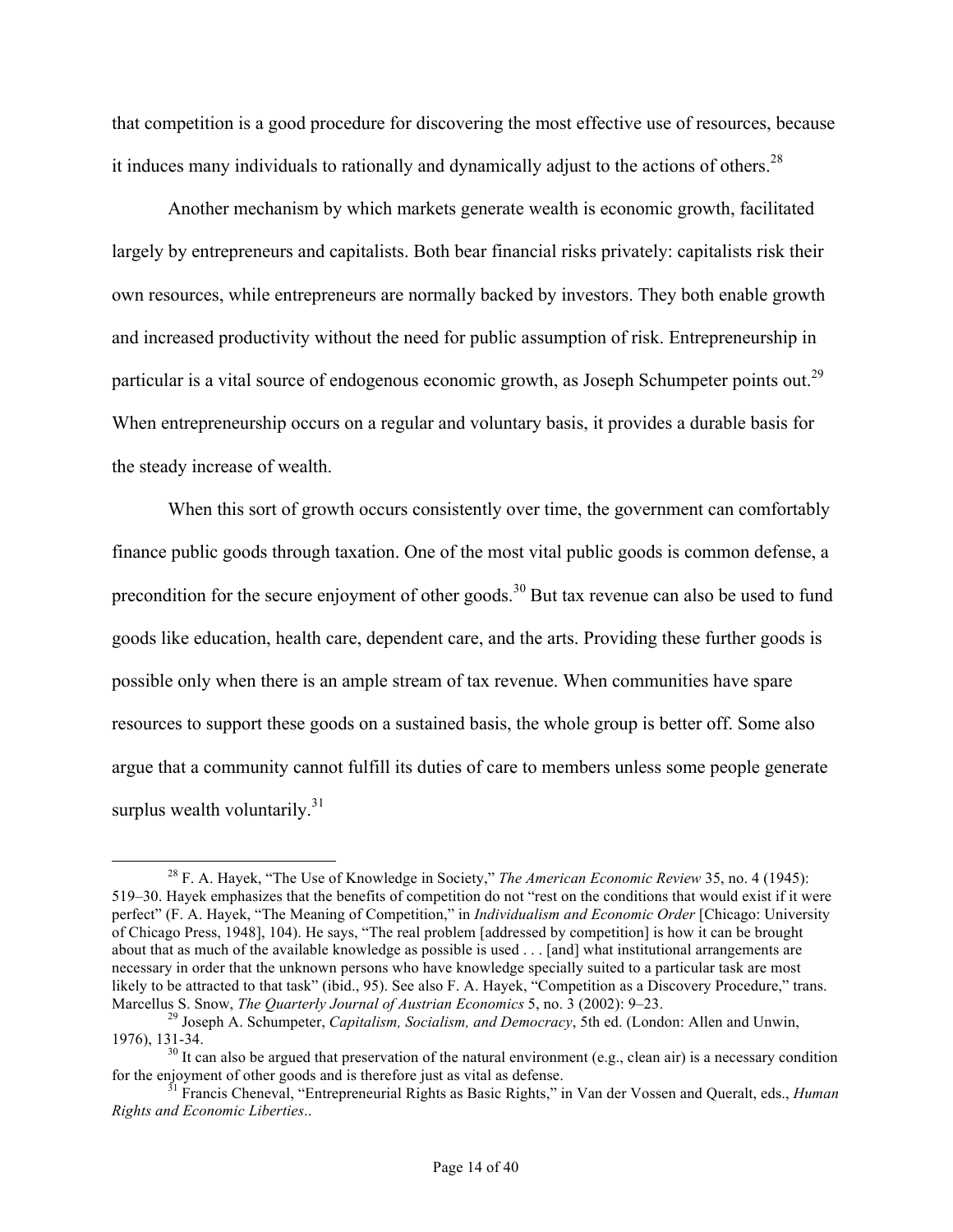that competition is a good procedure for discovering the most effective use of resources, because it induces many individuals to rationally and dynamically adjust to the actions of others.<sup>28</sup>

Another mechanism by which markets generate wealth is economic growth, facilitated largely by entrepreneurs and capitalists. Both bear financial risks privately: capitalists risk their own resources, while entrepreneurs are normally backed by investors. They both enable growth and increased productivity without the need for public assumption of risk. Entrepreneurship in particular is a vital source of endogenous economic growth, as Joseph Schumpeter points out.<sup>29</sup> When entrepreneurship occurs on a regular and voluntary basis, it provides a durable basis for the steady increase of wealth.

When this sort of growth occurs consistently over time, the government can comfortably finance public goods through taxation. One of the most vital public goods is common defense, a precondition for the secure enjoyment of other goods.<sup>30</sup> But tax revenue can also be used to fund goods like education, health care, dependent care, and the arts. Providing these further goods is possible only when there is an ample stream of tax revenue. When communities have spare resources to support these goods on a sustained basis, the whole group is better off. Some also argue that a community cannot fulfill its duties of care to members unless some people generate surplus wealth voluntarily. $31$ 

 <sup>28</sup> F. A. Hayek, "The Use of Knowledge in Society," *The American Economic Review* 35, no. 4 (1945): 519–30. Hayek emphasizes that the benefits of competition do not "rest on the conditions that would exist if it were perfect" (F. A. Hayek, "The Meaning of Competition," in *Individualism and Economic Order* [Chicago: University of Chicago Press, 1948], 104). He says, "The real problem [addressed by competition] is how it can be brought about that as much of the available knowledge as possible is used . . . [and] what institutional arrangements are necessary in order that the unknown persons who have knowledge specially suited to a particular task are most likely to be attracted to that task" (ibid., 95). See also F. A. Hayek, "Competition as a Discovery Procedure," trans. Marcellus S. Snow, *The Quarterly Journal of Austrian Economics* 5, no. 3 (2002): 9–23.<br><sup>29</sup> Joseph A. Schumpeter, *Capitalism, Socialism, and Democracy*, 5th ed. (London: Allen and Unwin,

<sup>1976), 131-34.&</sup>lt;br><sup>30</sup> It can also be argued that preservation of the natural environment (e.g., clean air) is a necessary condition<br>for the enjoyment of other goods and is therefore just as vital as defense.

<sup>&</sup>lt;sup>31</sup> Francis Cheneval, "Entrepreneurial Rights as Basic Rights," in Van der Vossen and Queralt, eds., *Human Rights and Economic Liberties*..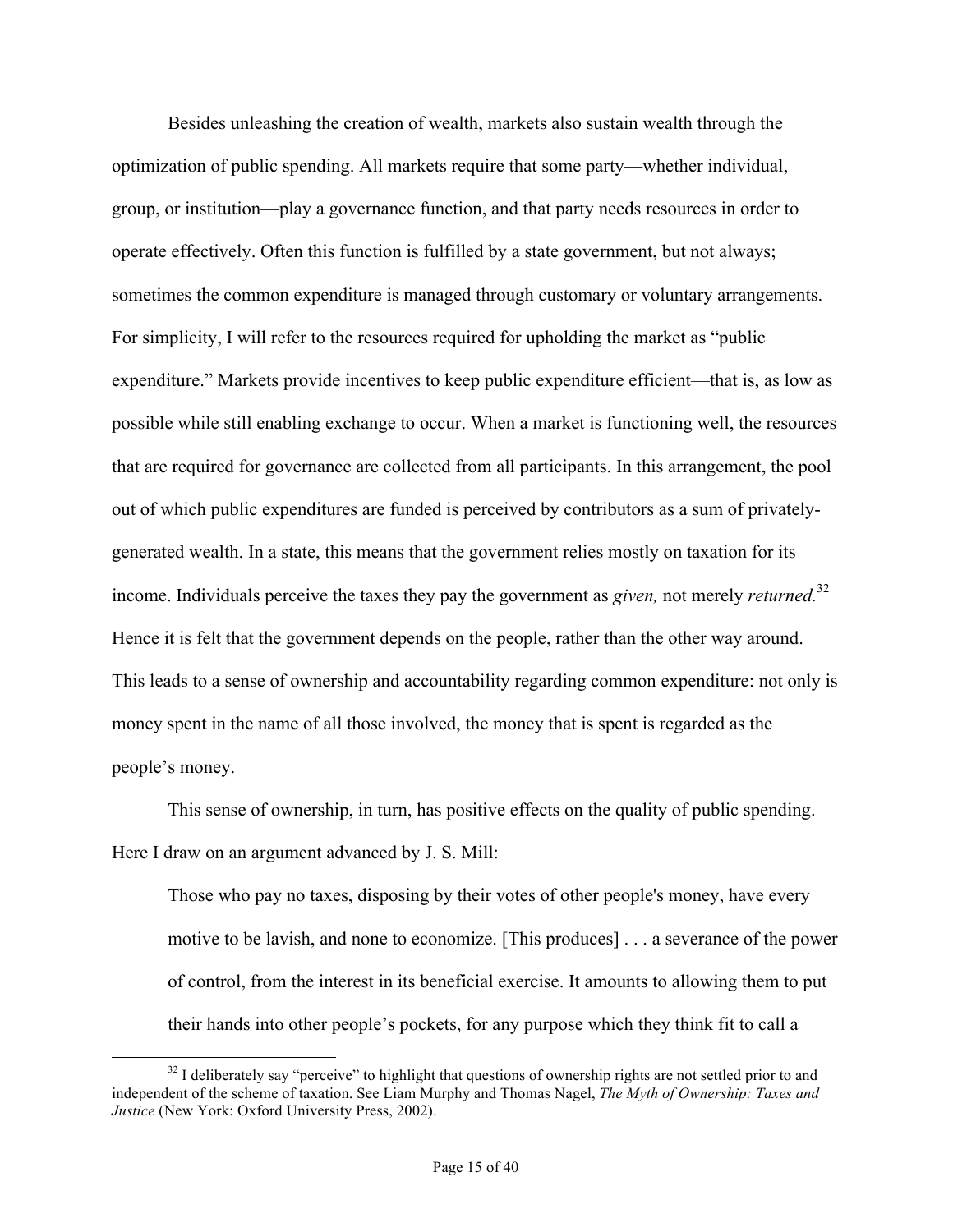Besides unleashing the creation of wealth, markets also sustain wealth through the optimization of public spending. All markets require that some party—whether individual, group, or institution—play a governance function, and that party needs resources in order to operate effectively. Often this function is fulfilled by a state government, but not always; sometimes the common expenditure is managed through customary or voluntary arrangements. For simplicity, I will refer to the resources required for upholding the market as "public expenditure." Markets provide incentives to keep public expenditure efficient—that is, as low as possible while still enabling exchange to occur. When a market is functioning well, the resources that are required for governance are collected from all participants. In this arrangement, the pool out of which public expenditures are funded is perceived by contributors as a sum of privatelygenerated wealth. In a state, this means that the government relies mostly on taxation for its income. Individuals perceive the taxes they pay the government as *given,* not merely *returned.*<sup>32</sup> Hence it is felt that the government depends on the people, rather than the other way around. This leads to a sense of ownership and accountability regarding common expenditure: not only is money spent in the name of all those involved, the money that is spent is regarded as the people's money.

This sense of ownership, in turn, has positive effects on the quality of public spending. Here I draw on an argument advanced by J. S. Mill:

Those who pay no taxes, disposing by their votes of other people's money, have every motive to be lavish, and none to economize. [This produces] . . . a severance of the power of control, from the interest in its beneficial exercise. It amounts to allowing them to put their hands into other people's pockets, for any purpose which they think fit to call a

 $32$  I deliberately say "perceive" to highlight that questions of ownership rights are not settled prior to and independent of the scheme of taxation. See Liam Murphy and Thomas Nagel, *The Myth of Ownership: Taxes and Justice* (New York: Oxford University Press, 2002).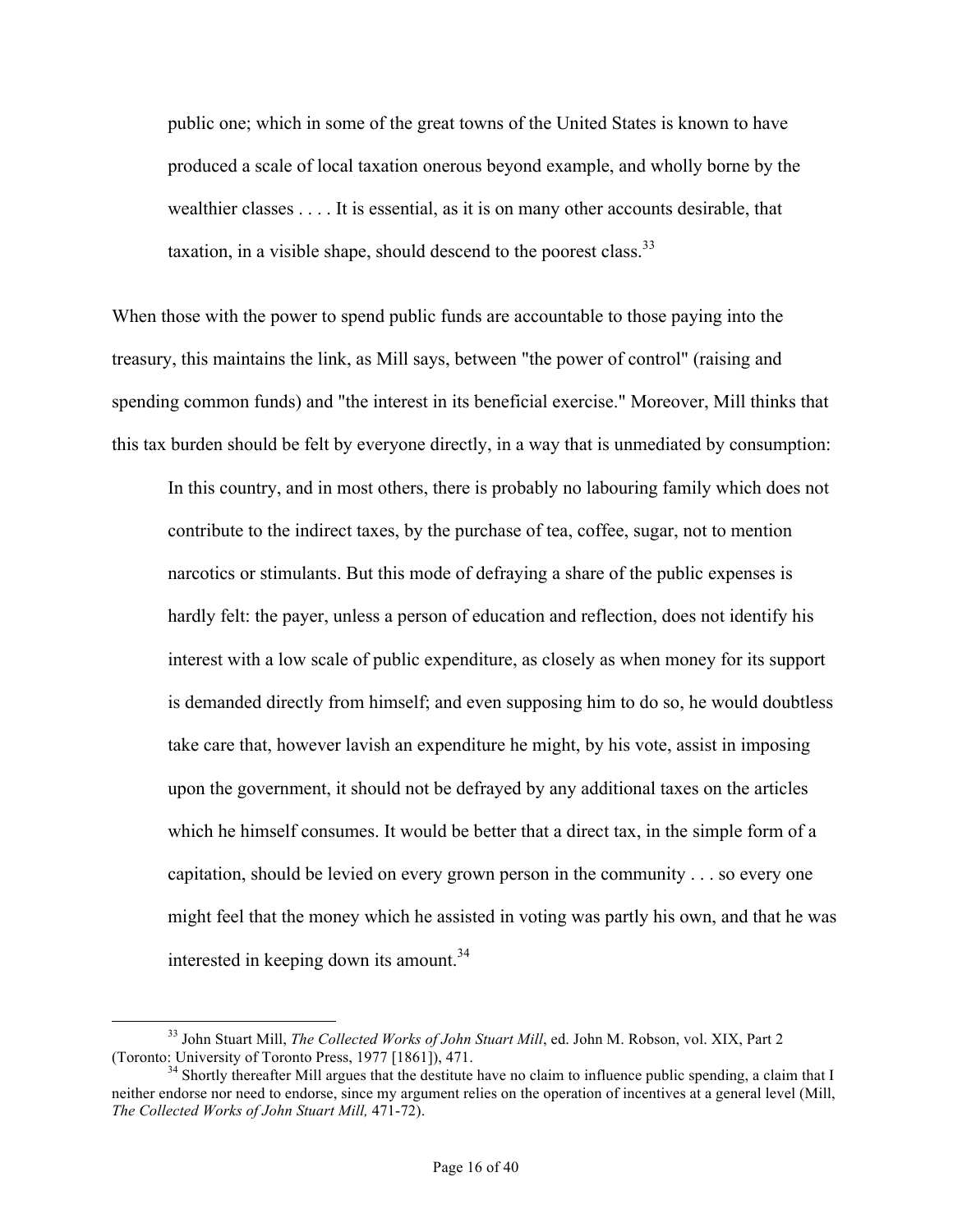public one; which in some of the great towns of the United States is known to have produced a scale of local taxation onerous beyond example, and wholly borne by the wealthier classes . . . . It is essential, as it is on many other accounts desirable, that taxation, in a visible shape, should descend to the poorest class.<sup>33</sup>

When those with the power to spend public funds are accountable to those paying into the treasury, this maintains the link, as Mill says, between "the power of control" (raising and spending common funds) and "the interest in its beneficial exercise." Moreover, Mill thinks that this tax burden should be felt by everyone directly, in a way that is unmediated by consumption:

In this country, and in most others, there is probably no labouring family which does not contribute to the indirect taxes, by the purchase of tea, coffee, sugar, not to mention narcotics or stimulants. But this mode of defraying a share of the public expenses is hardly felt: the payer, unless a person of education and reflection, does not identify his interest with a low scale of public expenditure, as closely as when money for its support is demanded directly from himself; and even supposing him to do so, he would doubtless take care that, however lavish an expenditure he might, by his vote, assist in imposing upon the government, it should not be defrayed by any additional taxes on the articles which he himself consumes. It would be better that a direct tax, in the simple form of a capitation, should be levied on every grown person in the community . . . so every one might feel that the money which he assisted in voting was partly his own, and that he was interested in keeping down its amount.<sup>34</sup>

<sup>&</sup>lt;sup>33</sup> John Stuart Mill, *The Collected Works of John Stuart Mill*, ed. John M. Robson, vol. XIX, Part 2 (Toronto: University of Toronto Press, 1977 [1861]), 471.

 $34$  Shortly thereafter Mill argues that the destitute have no claim to influence public spending, a claim that I neither endorse nor need to endorse, since my argument relies on the operation of incentives at a general level (Mill, *The Collected Works of John Stuart Mill,* 471-72).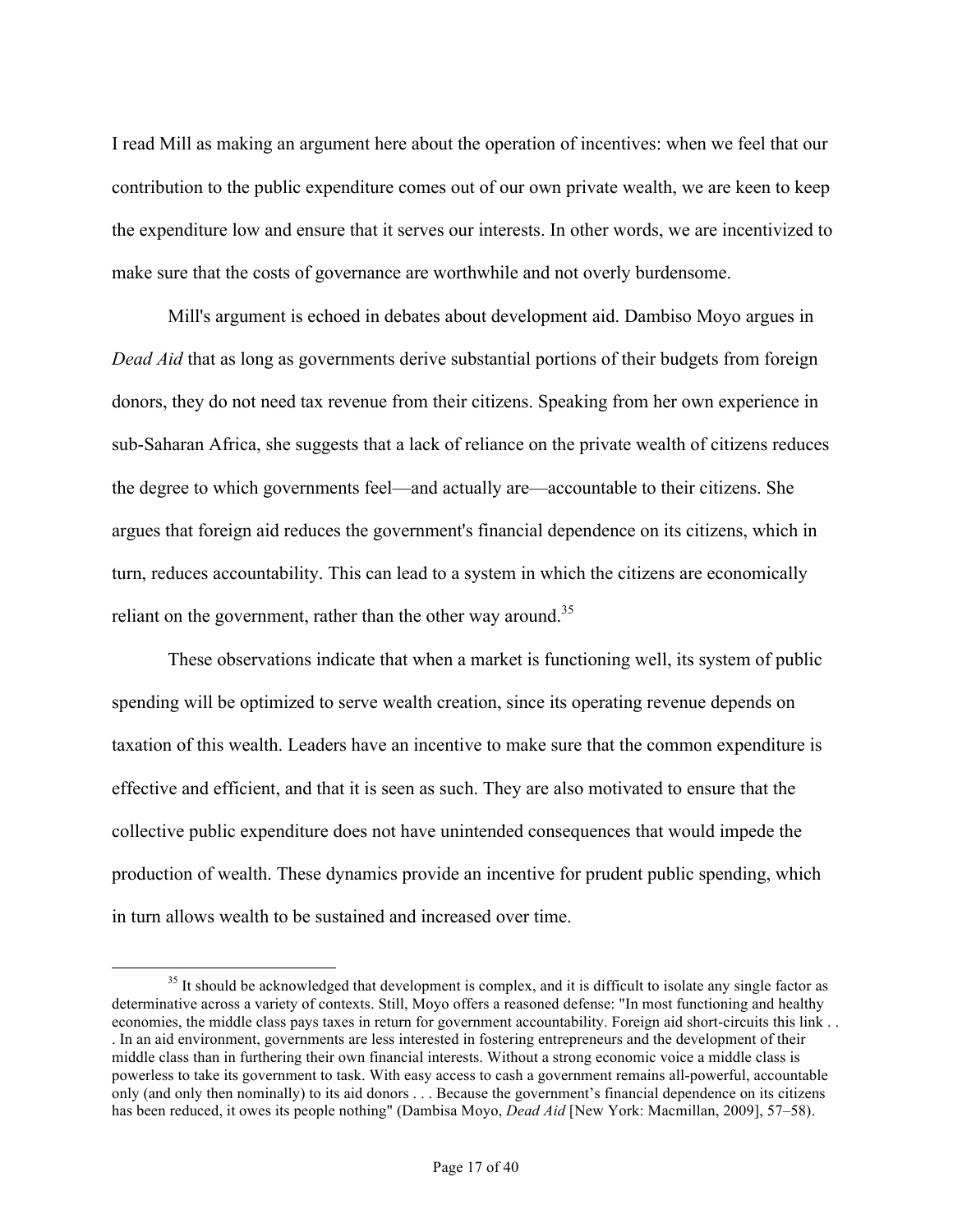I read Mill as making an argument here about the operation of incentives: when we feel that our contribution to the public expenditure comes out of our own private wealth, we are keen to keep the expenditure low and ensure that it serves our interests. In other words, we are incentivized to make sure that the costs of governance are worthwhile and not overly burdensome.

Mill's argument is echoed in debates about development aid. Dambiso Moyo argues in *Dead Aid* that as long as governments derive substantial portions of their budgets from foreign donors, they do not need tax revenue from their citizens. Speaking from her own experience in sub-Saharan Africa, she suggests that a lack of reliance on the private wealth of citizens reduces the degree to which governments feel—and actually are—accountable to their citizens. She argues that foreign aid reduces the government's financial dependence on its citizens, which in turn, reduces accountability. This can lead to a system in which the citizens are economically reliant on the government, rather than the other way around.<sup>35</sup>

These observations indicate that when a market is functioning well, its system of public spending will be optimized to serve wealth creation, since its operating revenue depends on taxation of this wealth. Leaders have an incentive to make sure that the common expenditure is effective and efficient, and that it is seen as such. They are also motivated to ensure that the collective public expenditure does not have unintended consequences that would impede the production of wealth. These dynamics provide an incentive for prudent public spending, which in turn allows wealth to be sustained and increased over time.

<sup>&</sup>lt;sup>35</sup> It should be acknowledged that development is complex, and it is difficult to isolate any single factor as determinative across a variety of contexts. Still, Moyo offers a reasoned defense: "In most functioning and healthy economies, the middle class pays taxes in return for government accountability. Foreign aid short-circuits this link . . . In an aid environment, governments are less interested in fostering entrepreneurs and the development of their middle class than in furthering their own financial interests. Without a strong economic voice a middle class is powerless to take its government to task. With easy access to cash a government remains all-powerful, accountable only (and only then nominally) to its aid donors . . . Because the government's financial dependence on its citizens has been reduced, it owes its people nothing" (Dambisa Moyo, *Dead Aid* [New York: Macmillan, 2009], 57–58).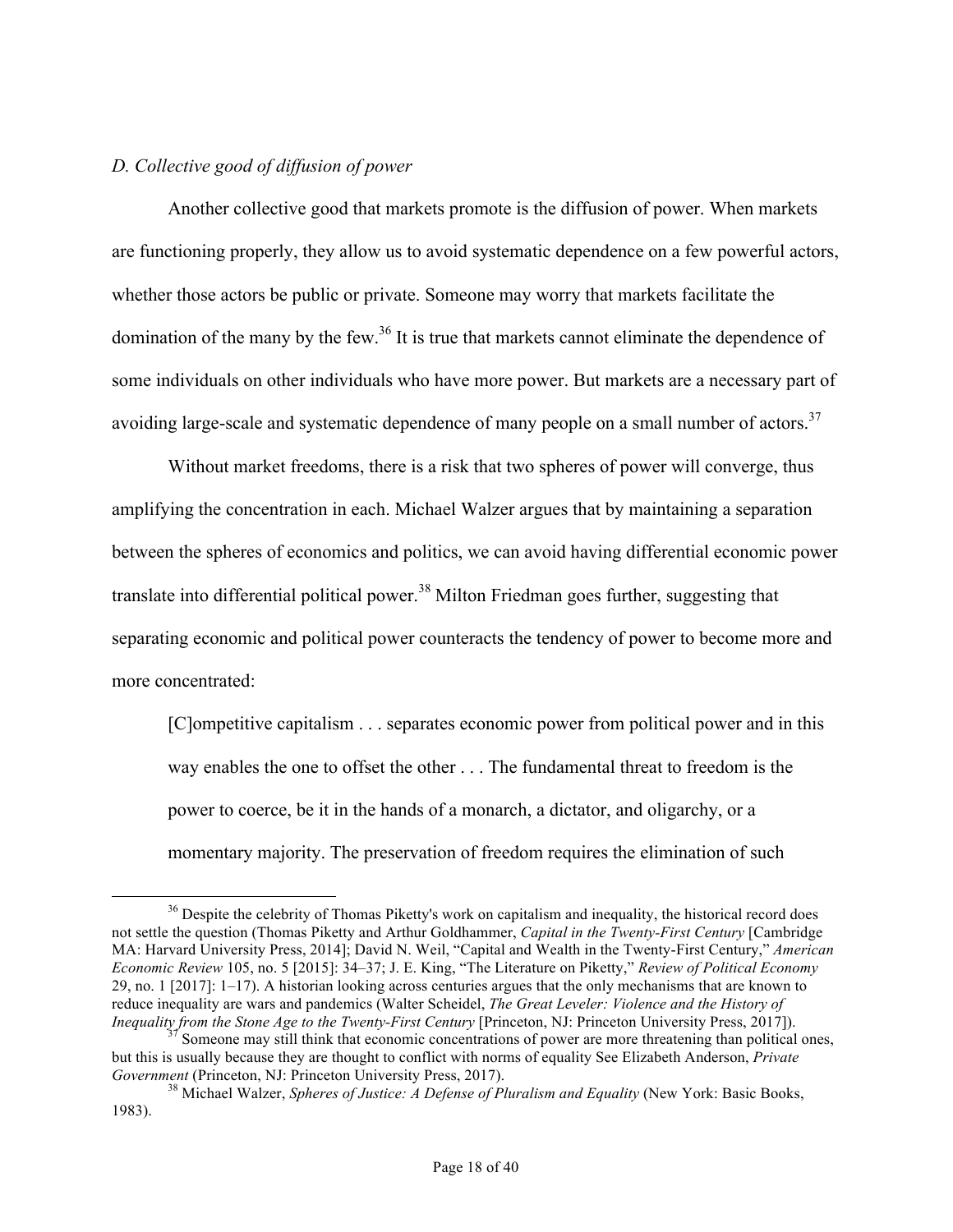## *D. Collective good of diffusion of power*

Another collective good that markets promote is the diffusion of power. When markets are functioning properly, they allow us to avoid systematic dependence on a few powerful actors, whether those actors be public or private. Someone may worry that markets facilitate the domination of the many by the few.<sup>36</sup> It is true that markets cannot eliminate the dependence of some individuals on other individuals who have more power. But markets are a necessary part of avoiding large-scale and systematic dependence of many people on a small number of actors.<sup>37</sup>

Without market freedoms, there is a risk that two spheres of power will converge, thus amplifying the concentration in each. Michael Walzer argues that by maintaining a separation between the spheres of economics and politics, we can avoid having differential economic power translate into differential political power.<sup>38</sup> Milton Friedman goes further, suggesting that separating economic and political power counteracts the tendency of power to become more and more concentrated:

[C]ompetitive capitalism . . . separates economic power from political power and in this way enables the one to offset the other . . . The fundamental threat to freedom is the power to coerce, be it in the hands of a monarch, a dictator, and oligarchy, or a momentary majority. The preservation of freedom requires the elimination of such

<sup>&</sup>lt;sup>36</sup> Despite the celebrity of Thomas Piketty's work on capitalism and inequality, the historical record does not settle the question (Thomas Piketty and Arthur Goldhammer, *Capital in the Twenty-First Century* [Cambridge MA: Harvard University Press, 2014]; David N. Weil, "Capital and Wealth in the Twenty-First Century," *American Economic Review* 105, no. 5 [2015]: 34–37; J. E. King, "The Literature on Piketty," *Review of Political Economy* 29, no. 1 [2017]: 1–17). A historian looking across centuries argues that the only mechanisms that are known to reduce inequality are wars and pandemics (Walter Scheidel, *The Great Leveler: Violence and the History of Inequality from the Stone Age to the Twenty-First Century [Princeton, NJ: Princeton University Press, 2017]).* 

*Someone may still think that economic concentrations of power are more threatening than political ones,* but this is usually because they are thought to conflict with norms of equality See Elizabeth Anderson, *Private* 

<sup>&</sup>lt;sup>38</sup> Michael Walzer, *Spheres of Justice: A Defense of Pluralism and Equality* (New York: Basic Books, 1983).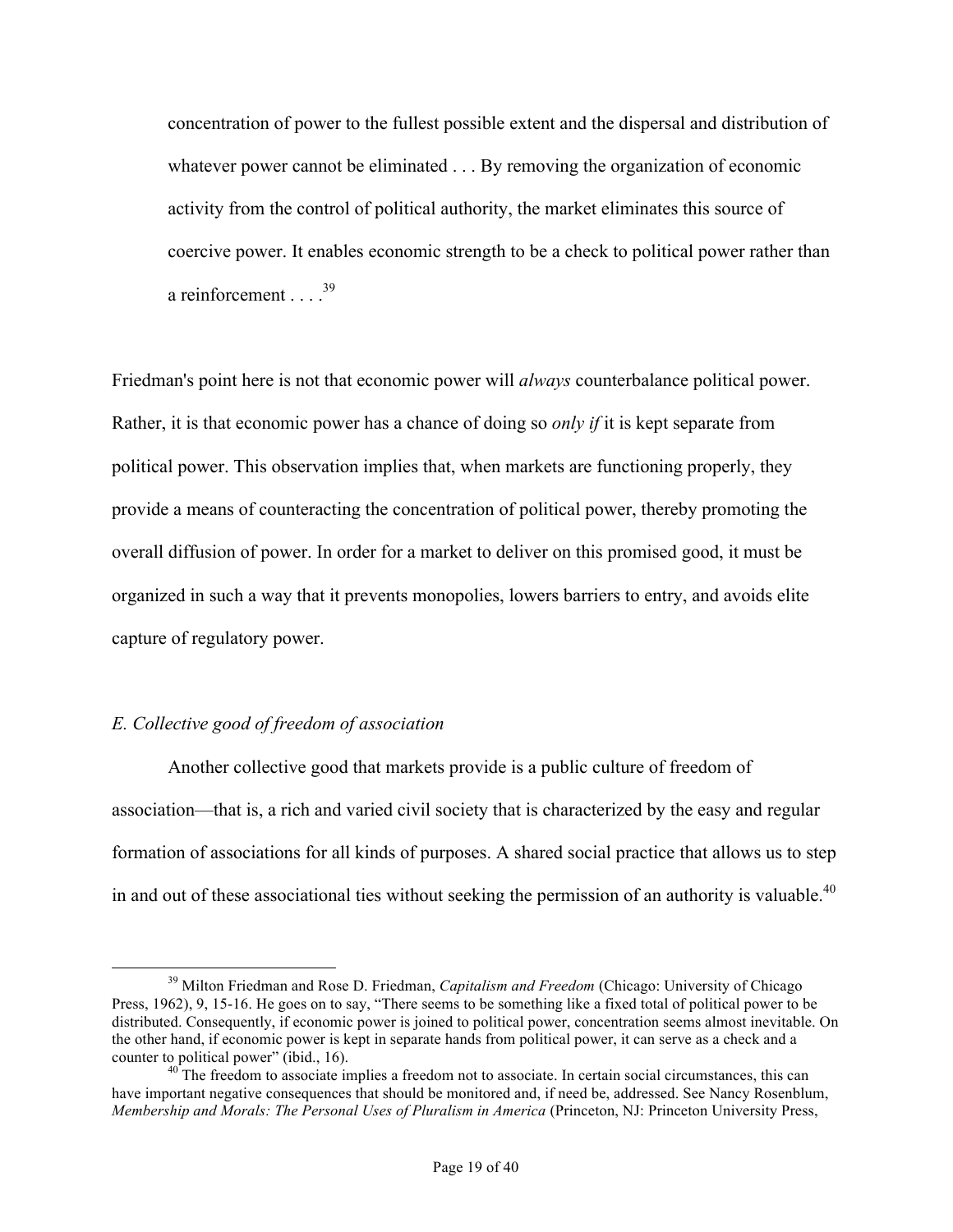concentration of power to the fullest possible extent and the dispersal and distribution of whatever power cannot be eliminated . . . By removing the organization of economic activity from the control of political authority, the market eliminates this source of coercive power. It enables economic strength to be a check to political power rather than a reinforcement  $39$ 

Friedman's point here is not that economic power will *always* counterbalance political power. Rather, it is that economic power has a chance of doing so *only if* it is kept separate from political power. This observation implies that, when markets are functioning properly, they provide a means of counteracting the concentration of political power, thereby promoting the overall diffusion of power. In order for a market to deliver on this promised good, it must be organized in such a way that it prevents monopolies, lowers barriers to entry, and avoids elite capture of regulatory power.

## *E. Collective good of freedom of association*

Another collective good that markets provide is a public culture of freedom of association—that is, a rich and varied civil society that is characterized by the easy and regular formation of associations for all kinds of purposes. A shared social practice that allows us to step in and out of these associational ties without seeking the permission of an authority is valuable.<sup>40</sup>

<sup>&</sup>lt;sup>39</sup> Milton Friedman and Rose D. Friedman, *Capitalism and Freedom* (Chicago: University of Chicago) Press, 1962), 9, 15-16. He goes on to say, "There seems to be something like a fixed total of political power to be distributed. Consequently, if economic power is joined to political power, concentration seems almost inevitable. On the other hand, if economic power is kept in separate hands from political power, it can serve as a check and a counter to political power" (ibid., 16).<br><sup>40</sup> The freedom to associate implies a freedom not to associate. In certain social circumstances, this can

have important negative consequences that should be monitored and, if need be, addressed. See Nancy Rosenblum, *Membership and Morals: The Personal Uses of Pluralism in America* (Princeton, NJ: Princeton University Press,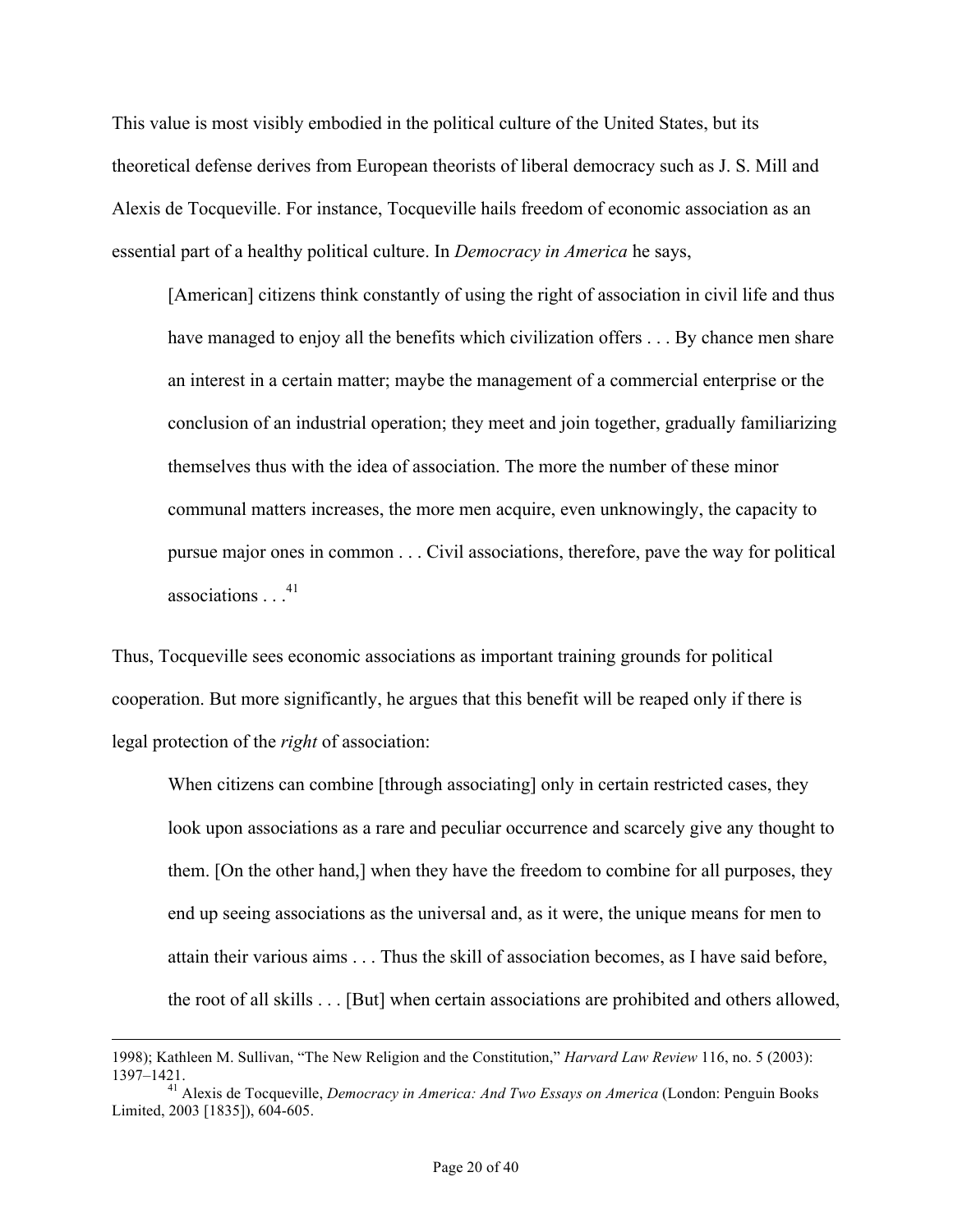This value is most visibly embodied in the political culture of the United States, but its theoretical defense derives from European theorists of liberal democracy such as J. S. Mill and Alexis de Tocqueville. For instance, Tocqueville hails freedom of economic association as an essential part of a healthy political culture. In *Democracy in America* he says,

[American] citizens think constantly of using the right of association in civil life and thus have managed to enjoy all the benefits which civilization offers . . . By chance men share an interest in a certain matter; maybe the management of a commercial enterprise or the conclusion of an industrial operation; they meet and join together, gradually familiarizing themselves thus with the idea of association. The more the number of these minor communal matters increases, the more men acquire, even unknowingly, the capacity to pursue major ones in common . . . Civil associations, therefore, pave the way for political associations  $^{41}$ 

Thus, Tocqueville sees economic associations as important training grounds for political cooperation. But more significantly, he argues that this benefit will be reaped only if there is legal protection of the *right* of association:

When citizens can combine [through associating] only in certain restricted cases, they look upon associations as a rare and peculiar occurrence and scarcely give any thought to them. [On the other hand,] when they have the freedom to combine for all purposes, they end up seeing associations as the universal and, as it were, the unique means for men to attain their various aims . . . Thus the skill of association becomes, as I have said before, the root of all skills . . . [But] when certain associations are prohibited and others allowed,

 <sup>1998);</sup> Kathleen M. Sullivan, "The New Religion and the Constitution," *Harvard Law Review* 116, no. 5 (2003): 1397–1421. <sup>41</sup> Alexis de Tocqueville, *Democracy in America: And Two Essays on America* (London: Penguin Books

Limited, 2003 [1835]), 604-605.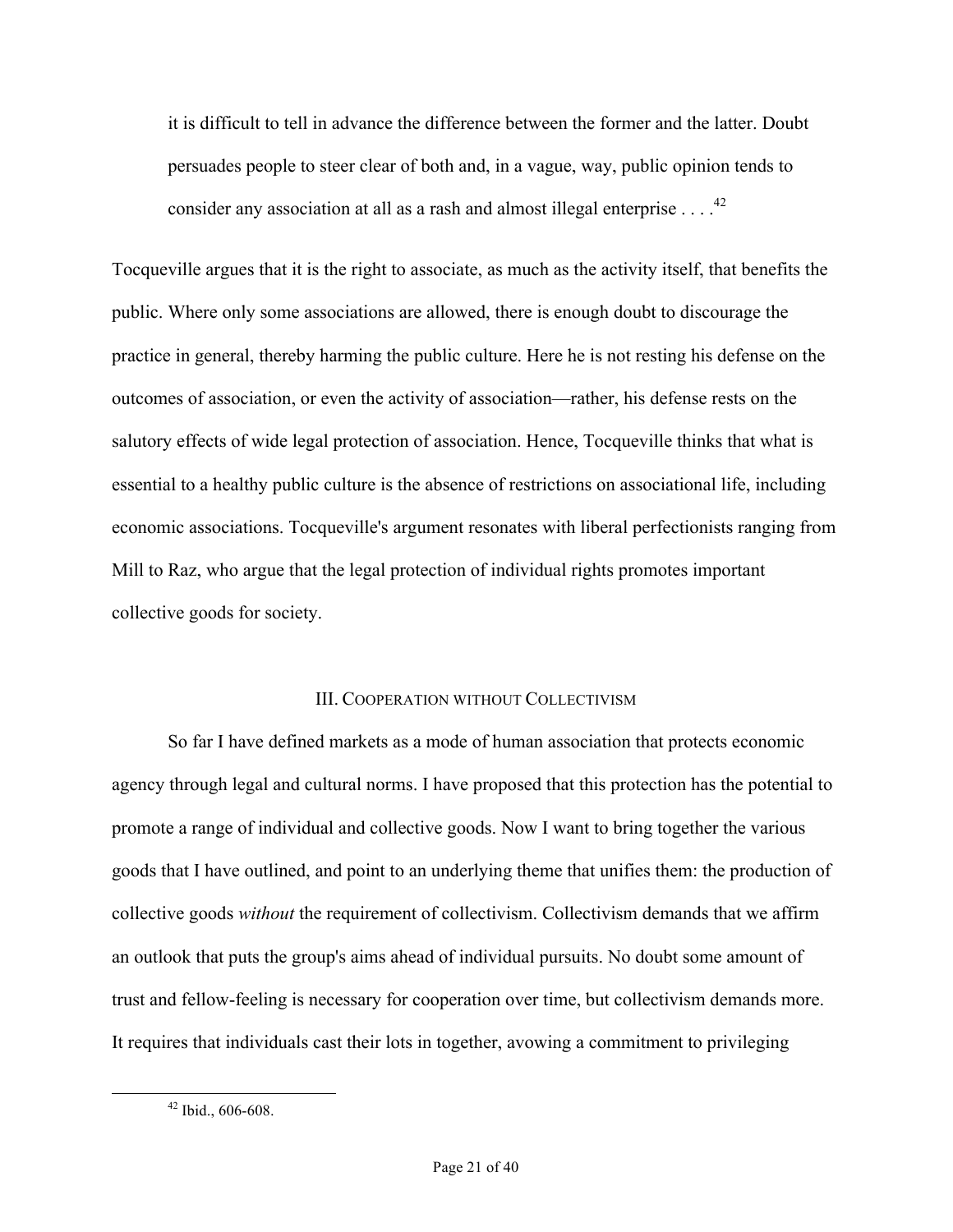it is difficult to tell in advance the difference between the former and the latter. Doubt persuades people to steer clear of both and, in a vague, way, public opinion tends to consider any association at all as a rash and almost illegal enterprise  $\ldots$ .<sup>42</sup>

Tocqueville argues that it is the right to associate, as much as the activity itself, that benefits the public. Where only some associations are allowed, there is enough doubt to discourage the practice in general, thereby harming the public culture. Here he is not resting his defense on the outcomes of association, or even the activity of association—rather, his defense rests on the salutory effects of wide legal protection of association. Hence, Tocqueville thinks that what is essential to a healthy public culture is the absence of restrictions on associational life, including economic associations. Tocqueville's argument resonates with liberal perfectionists ranging from Mill to Raz, who argue that the legal protection of individual rights promotes important collective goods for society.

### III. COOPERATION WITHOUT COLLECTIVISM

So far I have defined markets as a mode of human association that protects economic agency through legal and cultural norms. I have proposed that this protection has the potential to promote a range of individual and collective goods. Now I want to bring together the various goods that I have outlined, and point to an underlying theme that unifies them: the production of collective goods *without* the requirement of collectivism. Collectivism demands that we affirm an outlook that puts the group's aims ahead of individual pursuits. No doubt some amount of trust and fellow-feeling is necessary for cooperation over time, but collectivism demands more. It requires that individuals cast their lots in together, avowing a commitment to privileging

 <sup>42</sup> Ibid., 606-608.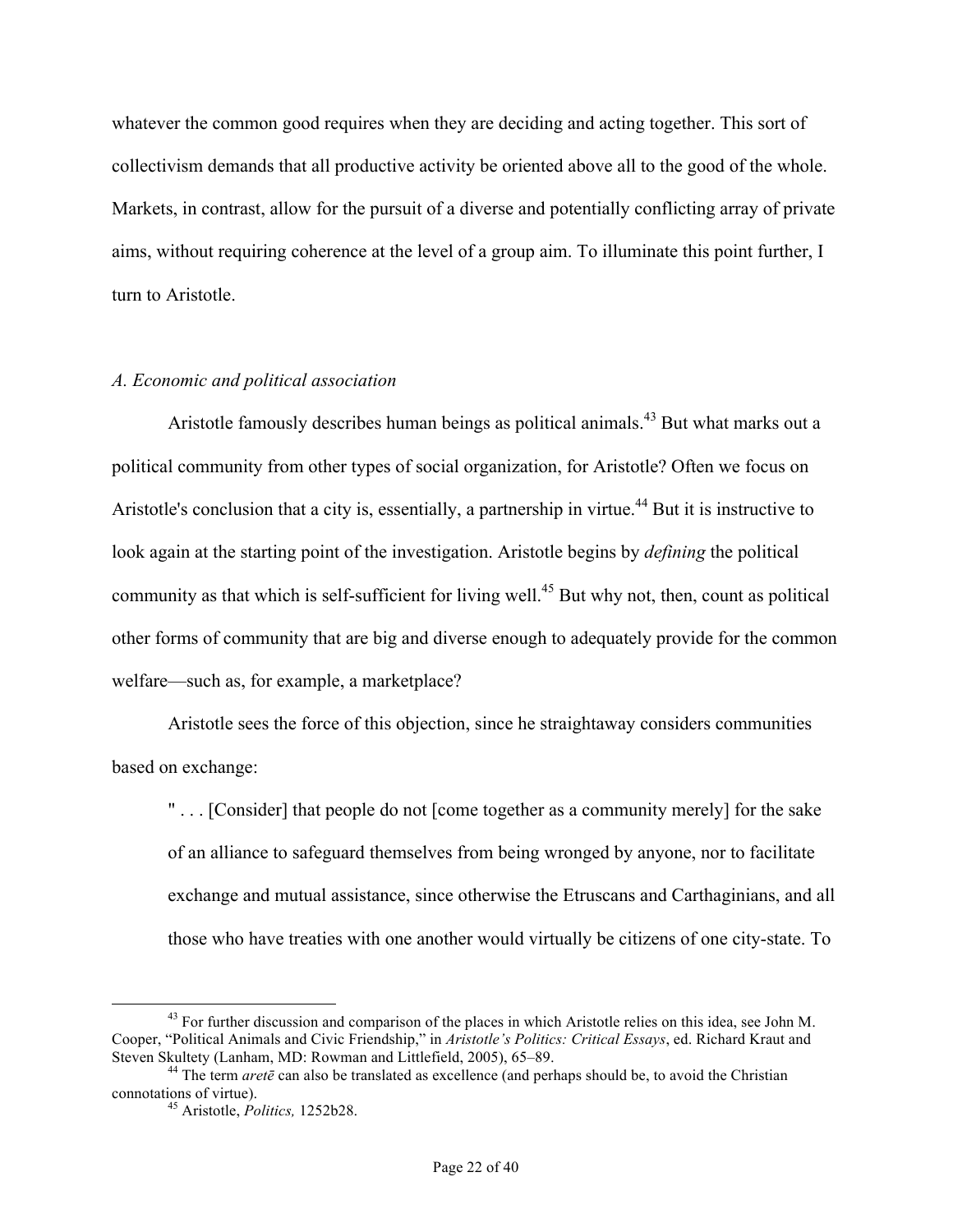whatever the common good requires when they are deciding and acting together. This sort of collectivism demands that all productive activity be oriented above all to the good of the whole. Markets, in contrast, allow for the pursuit of a diverse and potentially conflicting array of private aims, without requiring coherence at the level of a group aim. To illuminate this point further, I turn to Aristotle.

### *A. Economic and political association*

Aristotle famously describes human beings as political animals.<sup>43</sup> But what marks out a political community from other types of social organization, for Aristotle? Often we focus on Aristotle's conclusion that a city is, essentially, a partnership in virtue.<sup>44</sup> But it is instructive to look again at the starting point of the investigation. Aristotle begins by *defining* the political community as that which is self-sufficient for living well.<sup>45</sup> But why not, then, count as political other forms of community that are big and diverse enough to adequately provide for the common welfare—such as, for example, a marketplace?

Aristotle sees the force of this objection, since he straightaway considers communities based on exchange:

" . . . [Consider] that people do not [come together as a community merely] for the sake of an alliance to safeguard themselves from being wronged by anyone, nor to facilitate exchange and mutual assistance, since otherwise the Etruscans and Carthaginians, and all those who have treaties with one another would virtually be citizens of one city-state. To

<sup>&</sup>lt;sup>43</sup> For further discussion and comparison of the places in which Aristotle relies on this idea, see John M. Cooper, "Political Animals and Civic Friendship," in *Aristotle's Politics: Critical Essays*, ed. Richard Kraut and

Steven Skultety (Lanham, MD: Rowman and Littlefield, 2005), 65–89.<br><sup>44</sup> The term *aretē* can also be translated as excellence (and perhaps should be, to avoid the Christian connotations of virtue).

<sup>&</sup>lt;sup>45</sup> Aristotle, *Politics*, 1252b28.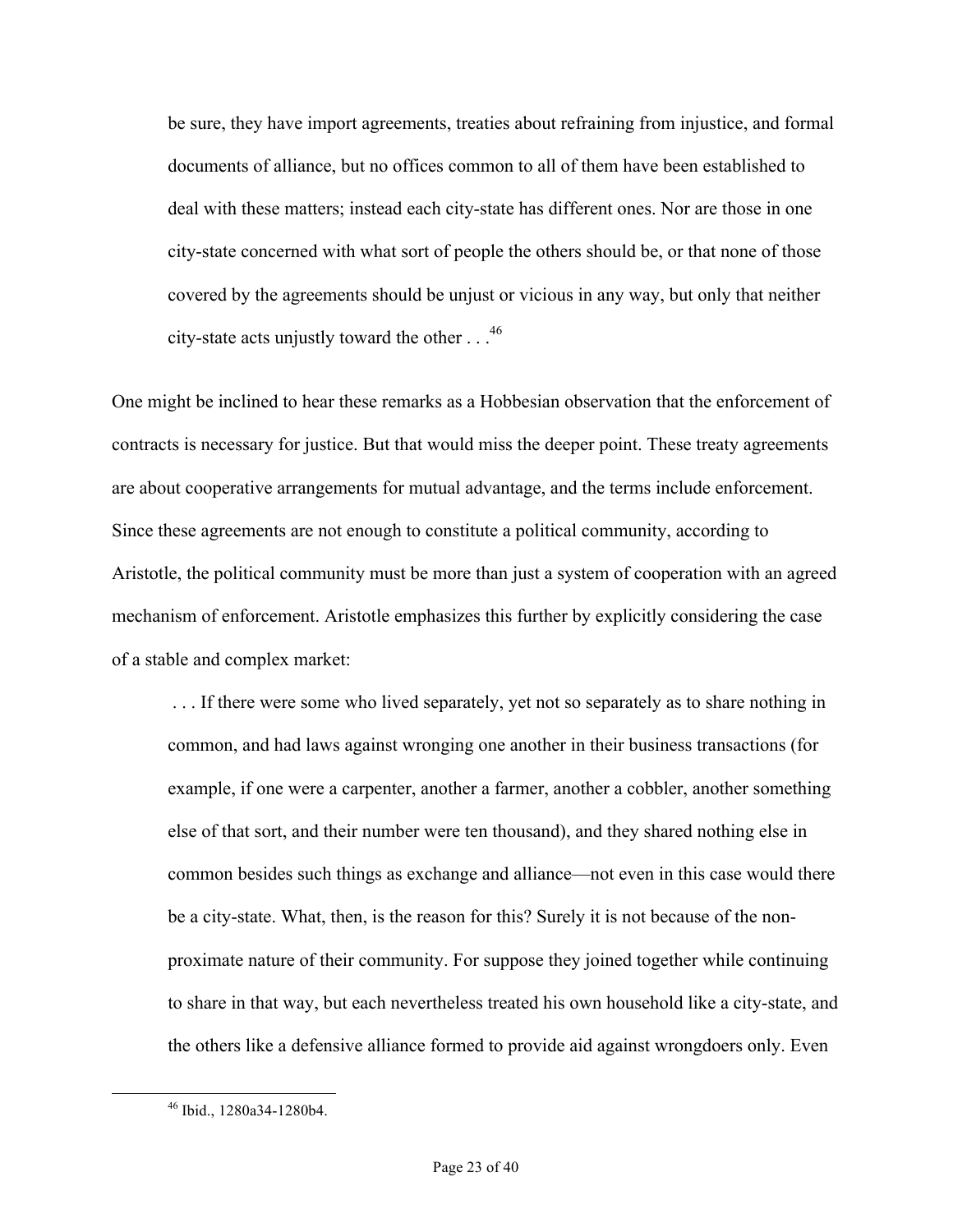be sure, they have import agreements, treaties about refraining from injustice, and formal documents of alliance, but no offices common to all of them have been established to deal with these matters; instead each city-state has different ones. Nor are those in one city-state concerned with what sort of people the others should be, or that none of those covered by the agreements should be unjust or vicious in any way, but only that neither city-state acts unjustly toward the other . . .46

One might be inclined to hear these remarks as a Hobbesian observation that the enforcement of contracts is necessary for justice. But that would miss the deeper point. These treaty agreements are about cooperative arrangements for mutual advantage, and the terms include enforcement. Since these agreements are not enough to constitute a political community, according to Aristotle, the political community must be more than just a system of cooperation with an agreed mechanism of enforcement. Aristotle emphasizes this further by explicitly considering the case of a stable and complex market:

. . . If there were some who lived separately, yet not so separately as to share nothing in common, and had laws against wronging one another in their business transactions (for example, if one were a carpenter, another a farmer, another a cobbler, another something else of that sort, and their number were ten thousand), and they shared nothing else in common besides such things as exchange and alliance—not even in this case would there be a city-state. What, then, is the reason for this? Surely it is not because of the nonproximate nature of their community. For suppose they joined together while continuing to share in that way, but each nevertheless treated his own household like a city-state, and the others like a defensive alliance formed to provide aid against wrongdoers only. Even

 <sup>46</sup> Ibid., 1280a34-1280b4.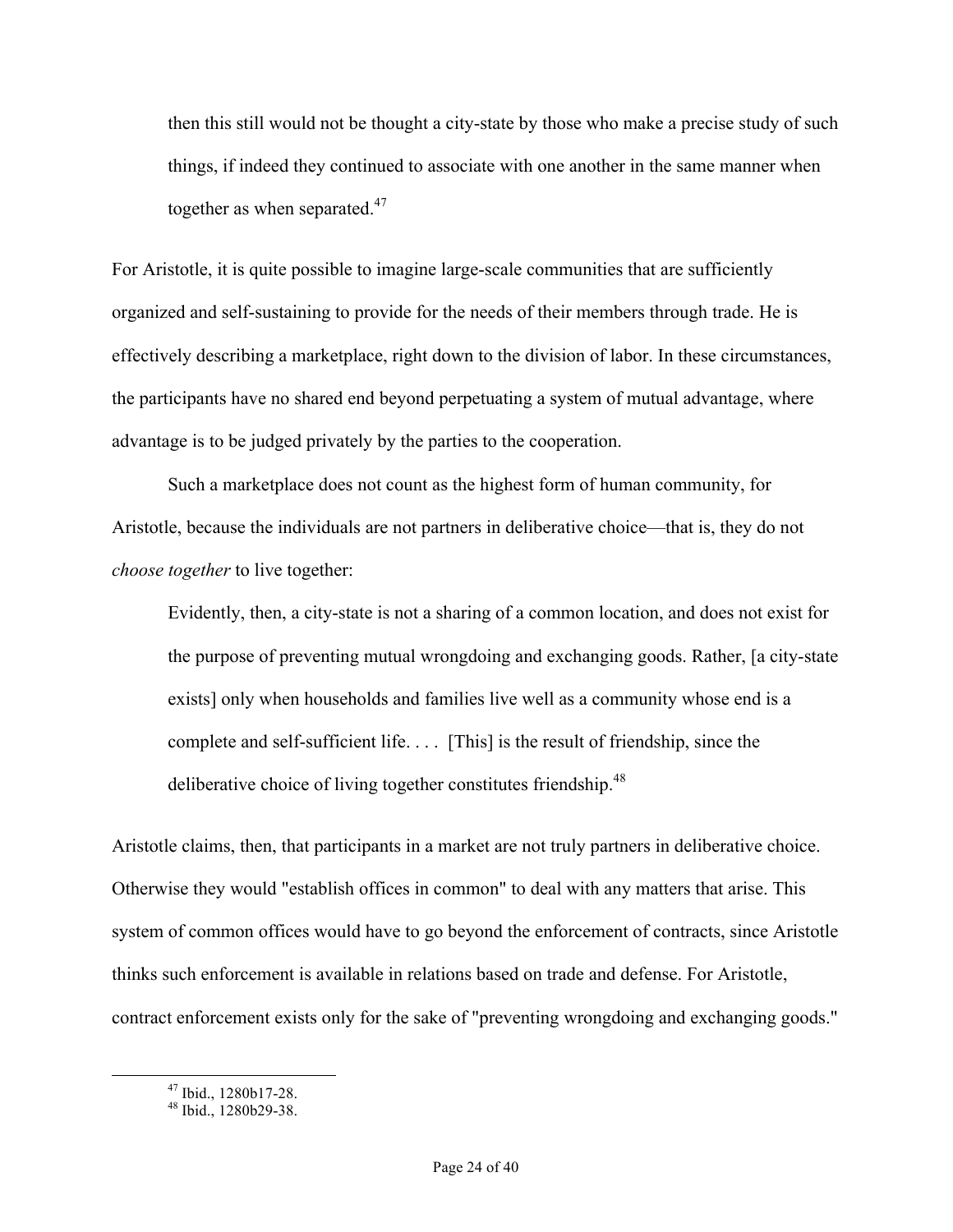then this still would not be thought a city-state by those who make a precise study of such things, if indeed they continued to associate with one another in the same manner when together as when separated. $47$ 

For Aristotle, it is quite possible to imagine large-scale communities that are sufficiently organized and self-sustaining to provide for the needs of their members through trade. He is effectively describing a marketplace, right down to the division of labor. In these circumstances, the participants have no shared end beyond perpetuating a system of mutual advantage, where advantage is to be judged privately by the parties to the cooperation.

Such a marketplace does not count as the highest form of human community, for Aristotle, because the individuals are not partners in deliberative choice—that is, they do not *choose together* to live together:

Evidently, then, a city-state is not a sharing of a common location, and does not exist for the purpose of preventing mutual wrongdoing and exchanging goods. Rather, [a city-state exists] only when households and families live well as a community whose end is a complete and self-sufficient life. . . . [This] is the result of friendship, since the deliberative choice of living together constitutes friendship.<sup>48</sup>

Aristotle claims, then, that participants in a market are not truly partners in deliberative choice. Otherwise they would "establish offices in common" to deal with any matters that arise. This system of common offices would have to go beyond the enforcement of contracts, since Aristotle thinks such enforcement is available in relations based on trade and defense. For Aristotle, contract enforcement exists only for the sake of "preventing wrongdoing and exchanging goods."

<sup>47</sup> Ibid., 1280b17-28. <sup>48</sup> Ibid., 1280b29-38.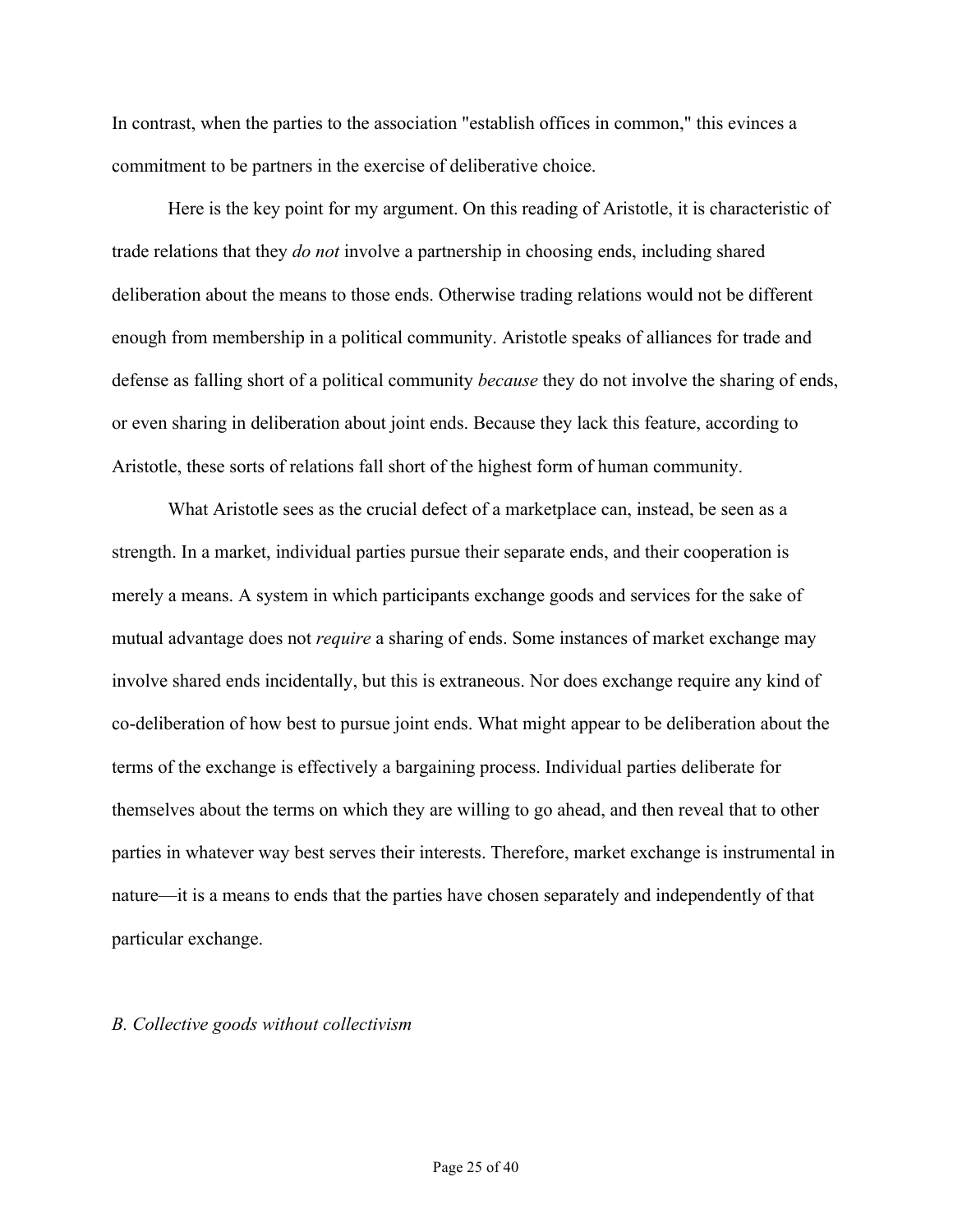In contrast, when the parties to the association "establish offices in common," this evinces a commitment to be partners in the exercise of deliberative choice.

Here is the key point for my argument. On this reading of Aristotle, it is characteristic of trade relations that they *do not* involve a partnership in choosing ends, including shared deliberation about the means to those ends. Otherwise trading relations would not be different enough from membership in a political community. Aristotle speaks of alliances for trade and defense as falling short of a political community *because* they do not involve the sharing of ends, or even sharing in deliberation about joint ends. Because they lack this feature, according to Aristotle, these sorts of relations fall short of the highest form of human community.

What Aristotle sees as the crucial defect of a marketplace can, instead, be seen as a strength. In a market, individual parties pursue their separate ends, and their cooperation is merely a means. A system in which participants exchange goods and services for the sake of mutual advantage does not *require* a sharing of ends. Some instances of market exchange may involve shared ends incidentally, but this is extraneous. Nor does exchange require any kind of co-deliberation of how best to pursue joint ends. What might appear to be deliberation about the terms of the exchange is effectively a bargaining process. Individual parties deliberate for themselves about the terms on which they are willing to go ahead, and then reveal that to other parties in whatever way best serves their interests. Therefore, market exchange is instrumental in nature—it is a means to ends that the parties have chosen separately and independently of that particular exchange.

#### *B. Collective goods without collectivism*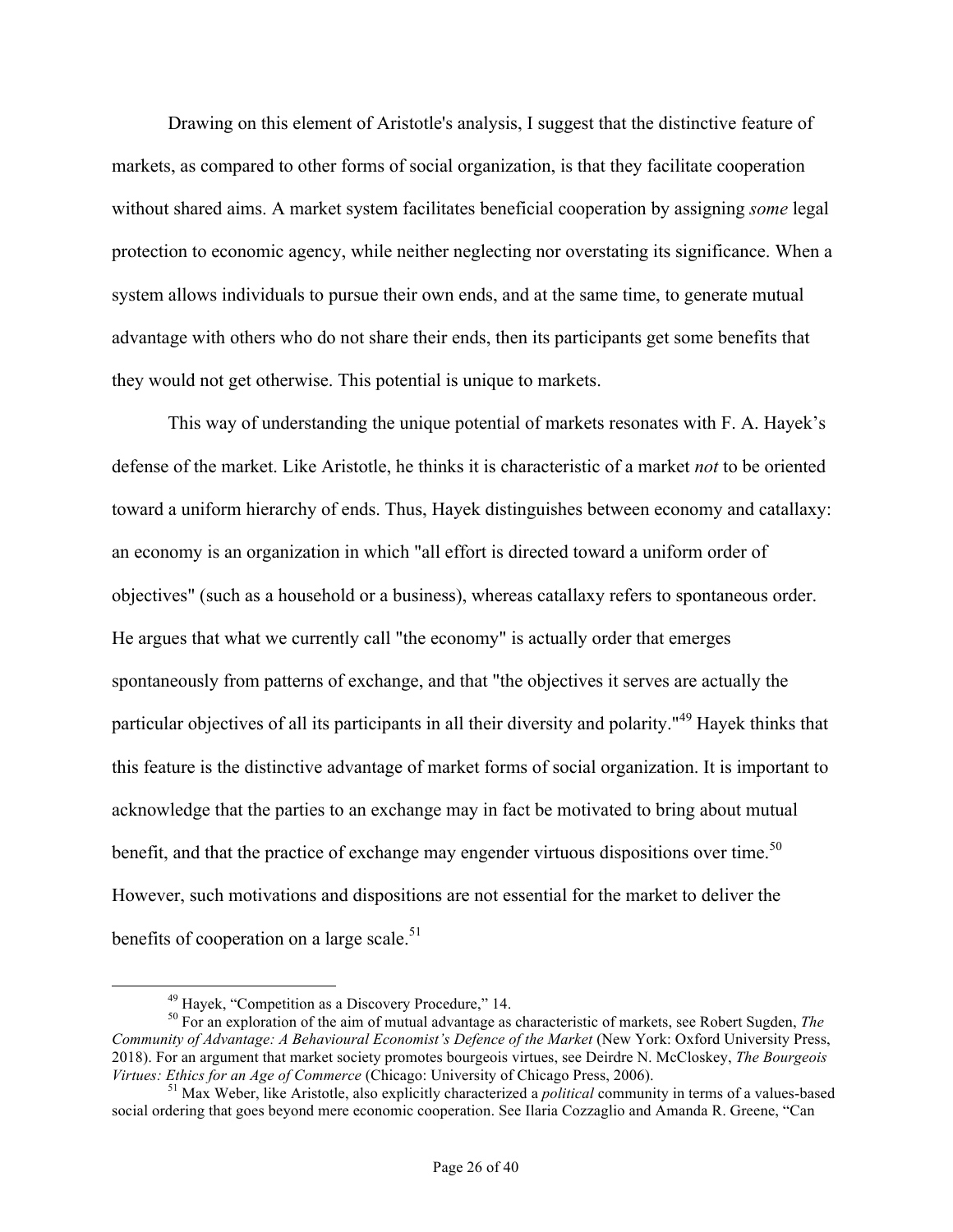Drawing on this element of Aristotle's analysis, I suggest that the distinctive feature of markets, as compared to other forms of social organization, is that they facilitate cooperation without shared aims. A market system facilitates beneficial cooperation by assigning *some* legal protection to economic agency, while neither neglecting nor overstating its significance. When a system allows individuals to pursue their own ends, and at the same time, to generate mutual advantage with others who do not share their ends, then its participants get some benefits that they would not get otherwise. This potential is unique to markets.

This way of understanding the unique potential of markets resonates with F. A. Hayek's defense of the market. Like Aristotle, he thinks it is characteristic of a market *not* to be oriented toward a uniform hierarchy of ends. Thus, Hayek distinguishes between economy and catallaxy: an economy is an organization in which "all effort is directed toward a uniform order of objectives" (such as a household or a business), whereas catallaxy refers to spontaneous order. He argues that what we currently call "the economy" is actually order that emerges spontaneously from patterns of exchange, and that "the objectives it serves are actually the particular objectives of all its participants in all their diversity and polarity."<sup>49</sup> Hayek thinks that this feature is the distinctive advantage of market forms of social organization. It is important to acknowledge that the parties to an exchange may in fact be motivated to bring about mutual benefit, and that the practice of exchange may engender virtuous dispositions over time.<sup>50</sup> However, such motivations and dispositions are not essential for the market to deliver the benefits of cooperation on a large scale. $51$ 

<sup>&</sup>lt;sup>49</sup> Hayek, "Competition as a Discovery Procedure," 14.<br><sup>50</sup> For an exploration of the aim of mutual advantage as characteristic of markets, see Robert Sugden, *The Community of Advantage: A Behavioural Economist's Defence of the Market* (New York: Oxford University Press, 2018). For an argument that market society promotes bourgeois virtues, see Deirdre N. McCloskey, *The Bourgeois* 

<sup>&</sup>lt;sup>51</sup> Max Weber, like Aristotle, also explicitly characterized a *political* community in terms of a values-based social ordering that goes beyond mere economic cooperation. See Ilaria Cozzaglio and Amanda R. Greene, "Can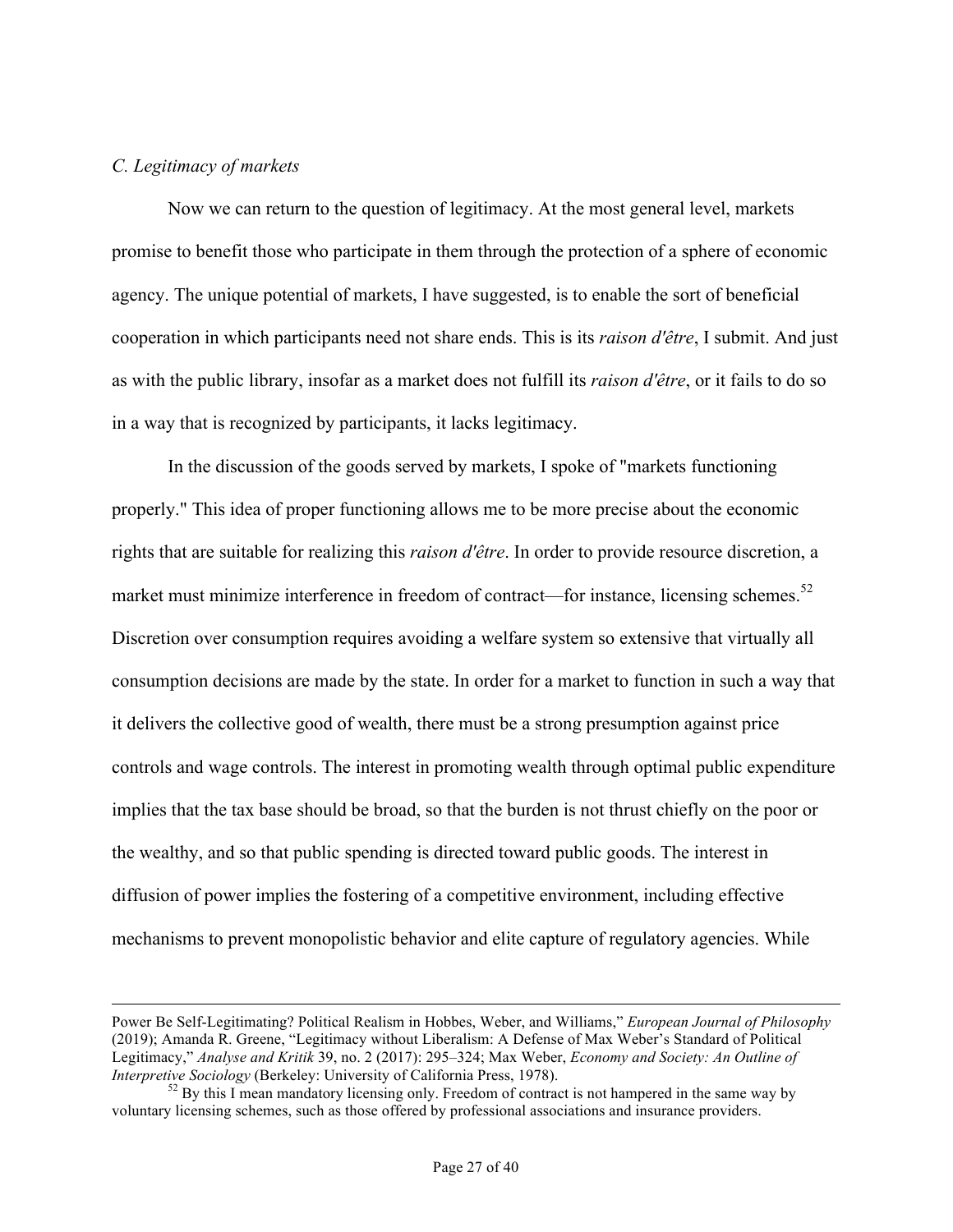## *C. Legitimacy of markets*

1

Now we can return to the question of legitimacy. At the most general level, markets promise to benefit those who participate in them through the protection of a sphere of economic agency. The unique potential of markets, I have suggested, is to enable the sort of beneficial cooperation in which participants need not share ends. This is its *raison d'être*, I submit. And just as with the public library, insofar as a market does not fulfill its *raison d'être*, or it fails to do so in a way that is recognized by participants, it lacks legitimacy.

In the discussion of the goods served by markets, I spoke of "markets functioning properly." This idea of proper functioning allows me to be more precise about the economic rights that are suitable for realizing this *raison d'être*. In order to provide resource discretion, a market must minimize interference in freedom of contract—for instance, licensing schemes.<sup>52</sup> Discretion over consumption requires avoiding a welfare system so extensive that virtually all consumption decisions are made by the state. In order for a market to function in such a way that it delivers the collective good of wealth, there must be a strong presumption against price controls and wage controls. The interest in promoting wealth through optimal public expenditure implies that the tax base should be broad, so that the burden is not thrust chiefly on the poor or the wealthy, and so that public spending is directed toward public goods. The interest in diffusion of power implies the fostering of a competitive environment, including effective mechanisms to prevent monopolistic behavior and elite capture of regulatory agencies. While

Power Be Self-Legitimating? Political Realism in Hobbes, Weber, and Williams," *European Journal of Philosophy* (2019); Amanda R. Greene, "Legitimacy without Liberalism: A Defense of Max Weber's Standard of Political Legitimacy," *Analyse and Kritik* 39, no. 2 (2017): 295–324; Max Weber, *Economy and Society: An Outline of* 

<sup>&</sup>lt;sup>52</sup> By this I mean mandatory licensing only. Freedom of contract is not hampered in the same way by voluntary licensing schemes, such as those offered by professional associations and insurance providers.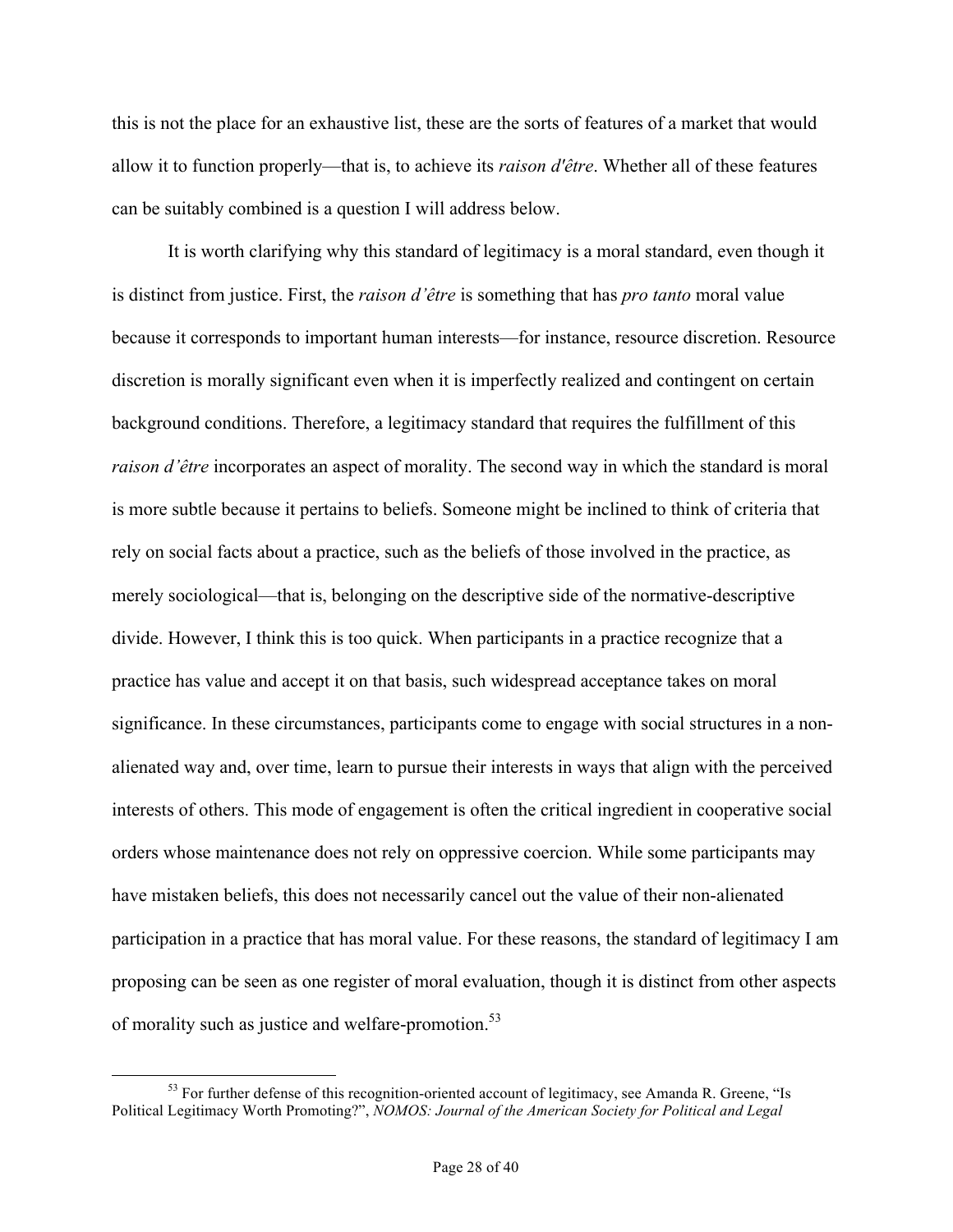this is not the place for an exhaustive list, these are the sorts of features of a market that would allow it to function properly—that is, to achieve its *raison d'être*. Whether all of these features can be suitably combined is a question I will address below.

It is worth clarifying why this standard of legitimacy is a moral standard, even though it is distinct from justice. First, the *raison d'être* is something that has *pro tanto* moral value because it corresponds to important human interests—for instance, resource discretion. Resource discretion is morally significant even when it is imperfectly realized and contingent on certain background conditions. Therefore, a legitimacy standard that requires the fulfillment of this *raison d'être* incorporates an aspect of morality. The second way in which the standard is moral is more subtle because it pertains to beliefs. Someone might be inclined to think of criteria that rely on social facts about a practice, such as the beliefs of those involved in the practice, as merely sociological—that is, belonging on the descriptive side of the normative-descriptive divide. However, I think this is too quick. When participants in a practice recognize that a practice has value and accept it on that basis, such widespread acceptance takes on moral significance. In these circumstances, participants come to engage with social structures in a nonalienated way and, over time, learn to pursue their interests in ways that align with the perceived interests of others. This mode of engagement is often the critical ingredient in cooperative social orders whose maintenance does not rely on oppressive coercion. While some participants may have mistaken beliefs, this does not necessarily cancel out the value of their non-alienated participation in a practice that has moral value. For these reasons, the standard of legitimacy I am proposing can be seen as one register of moral evaluation, though it is distinct from other aspects of morality such as justice and welfare-promotion.<sup>53</sup>

<sup>&</sup>lt;sup>53</sup> For further defense of this recognition-oriented account of legitimacy, see Amanda R. Greene, "Is Political Legitimacy Worth Promoting?", *NOMOS: Journal of the American Society for Political and Legal*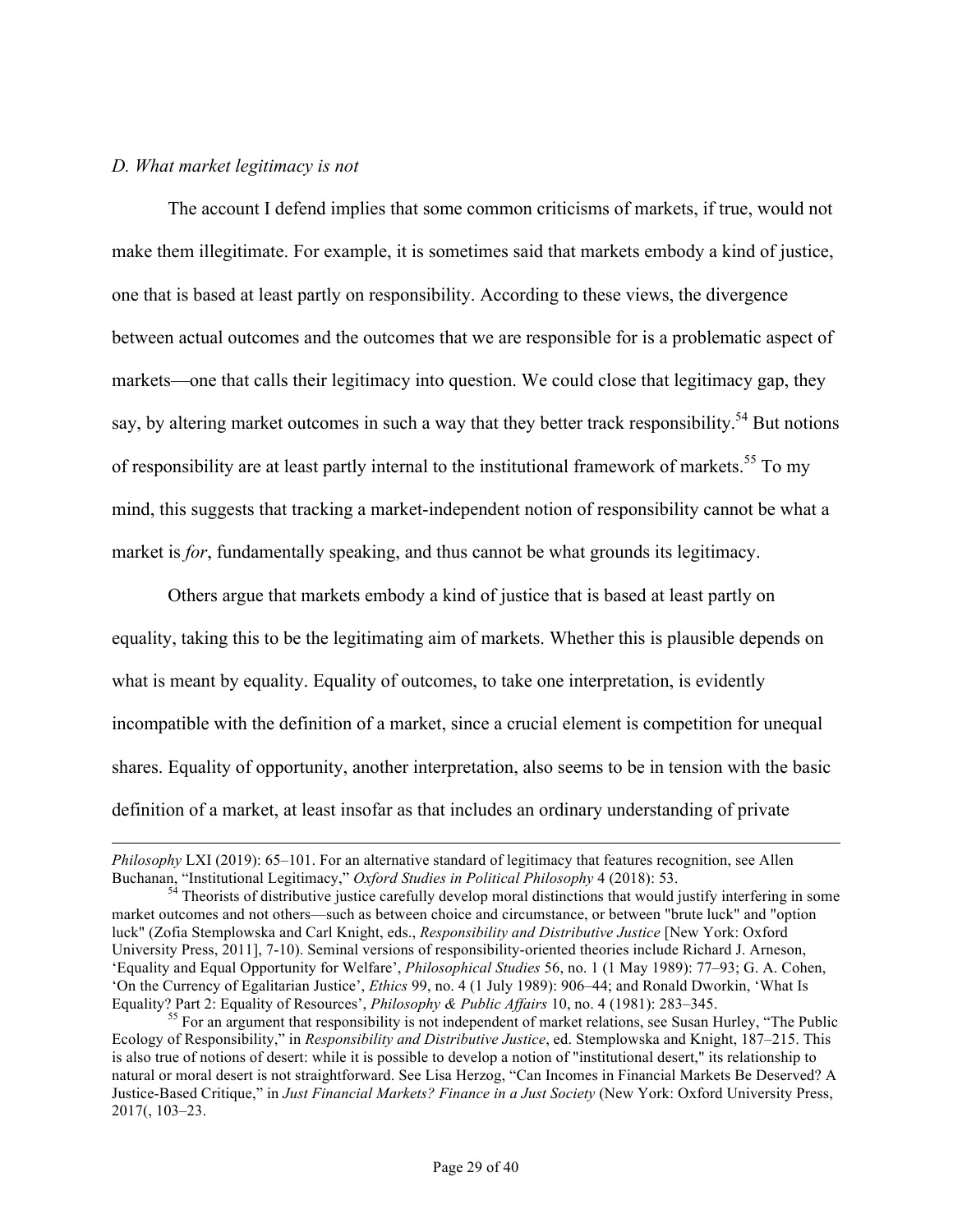#### *D. What market legitimacy is not*

1

The account I defend implies that some common criticisms of markets, if true, would not make them illegitimate. For example, it is sometimes said that markets embody a kind of justice, one that is based at least partly on responsibility. According to these views, the divergence between actual outcomes and the outcomes that we are responsible for is a problematic aspect of markets—one that calls their legitimacy into question. We could close that legitimacy gap, they say, by altering market outcomes in such a way that they better track responsibility.<sup>54</sup> But notions of responsibility are at least partly internal to the institutional framework of markets.<sup>55</sup> To my mind, this suggests that tracking a market-independent notion of responsibility cannot be what a market is *for*, fundamentally speaking, and thus cannot be what grounds its legitimacy.

Others argue that markets embody a kind of justice that is based at least partly on equality, taking this to be the legitimating aim of markets. Whether this is plausible depends on what is meant by equality. Equality of outcomes, to take one interpretation, is evidently incompatible with the definition of a market, since a crucial element is competition for unequal shares. Equality of opportunity, another interpretation, also seems to be in tension with the basic definition of a market, at least insofar as that includes an ordinary understanding of private

*Philosophy* LXI (2019): 65–101. For an alternative standard of legitimacy that features recognition, see Allen

Buchanan, "Institutional Legitimacy," *Oxford Studies in Political Philosophy* 4 (2018): 53.<br><sup>54</sup> Theorists of distributive justice carefully develop moral distinctions that would justify interfering in some market outcomes and not others—such as between choice and circumstance, or between "brute luck" and "option luck" (Zofia Stemplowska and Carl Knight, eds., *Responsibility and Distributive Justice* [New York: Oxford University Press, 2011], 7-10). Seminal versions of responsibility-oriented theories include Richard J. Arneson, 'Equality and Equal Opportunity for Welfare', *Philosophical Studies* 56, no. 1 (1 May 1989): 77–93; G. A. Cohen, 'On the Currency of Egalitarian Justice', *Ethics* 99, no. 4 (1 July 1989): 906–44; and Ronald Dworkin, 'What Is Equality? Part 2: Equality of Resources', *Philosophy & Public Affairs* 10, no. 4 (1981): 283–345.<br><sup>55</sup> For an argument that responsibility is not independent of market relations, see Susan Hurley, "The Public

Ecology of Responsibility," in *Responsibility and Distributive Justice*, ed. Stemplowska and Knight, 187–215. This is also true of notions of desert: while it is possible to develop a notion of "institutional desert," its relationship to natural or moral desert is not straightforward. See Lisa Herzog, "Can Incomes in Financial Markets Be Deserved? A Justice-Based Critique," in *Just Financial Markets? Finance in a Just Society* (New York: Oxford University Press, 2017(, 103–23.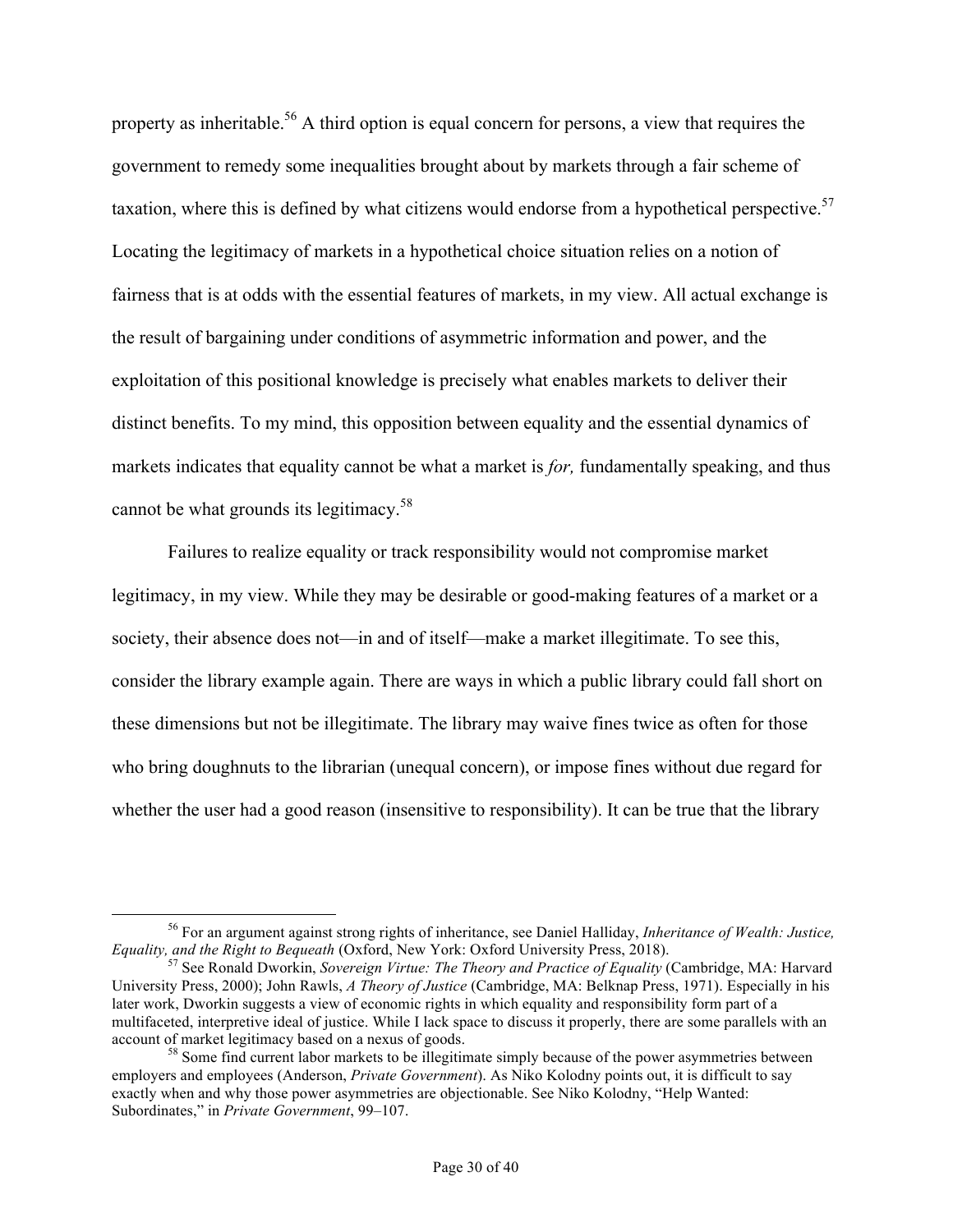property as inheritable.<sup>56</sup> A third option is equal concern for persons, a view that requires the government to remedy some inequalities brought about by markets through a fair scheme of taxation, where this is defined by what citizens would endorse from a hypothetical perspective.<sup>57</sup> Locating the legitimacy of markets in a hypothetical choice situation relies on a notion of fairness that is at odds with the essential features of markets, in my view. All actual exchange is the result of bargaining under conditions of asymmetric information and power, and the exploitation of this positional knowledge is precisely what enables markets to deliver their distinct benefits. To my mind, this opposition between equality and the essential dynamics of markets indicates that equality cannot be what a market is *for,* fundamentally speaking, and thus cannot be what grounds its legitimacy.<sup>58</sup>

Failures to realize equality or track responsibility would not compromise market legitimacy, in my view. While they may be desirable or good-making features of a market or a society, their absence does not—in and of itself—make a market illegitimate. To see this, consider the library example again. There are ways in which a public library could fall short on these dimensions but not be illegitimate. The library may waive fines twice as often for those who bring doughnuts to the librarian (unequal concern), or impose fines without due regard for whether the user had a good reason (insensitive to responsibility). It can be true that the library

 <sup>56</sup> For an argument against strong rights of inheritance, see Daniel Halliday, *Inheritance of Wealth: Justice,* 

<sup>&</sup>lt;sup>57</sup> See Ronald Dworkin, *Sovereign Virtue: The Theory and Practice of Equality* (Cambridge, MA: Harvard University Press, 2000); John Rawls, *A Theory of Justice* (Cambridge, MA: Belknap Press, 1971). Especially in his later work, Dworkin suggests a view of economic rights in which equality and responsibility form part of a multifaceted, interpretive ideal of justice. While I lack space to discuss it properly, there are some parallels with an account of market legitimacy based on a nexus of goods.<br><sup>58</sup> Some find current labor markets to be illegitimate simply because of the power asymmetries between

employers and employees (Anderson, *Private Government*). As Niko Kolodny points out, it is difficult to say exactly when and why those power asymmetries are objectionable. See Niko Kolodny, "Help Wanted: Subordinates," in *Private Government*, 99–107.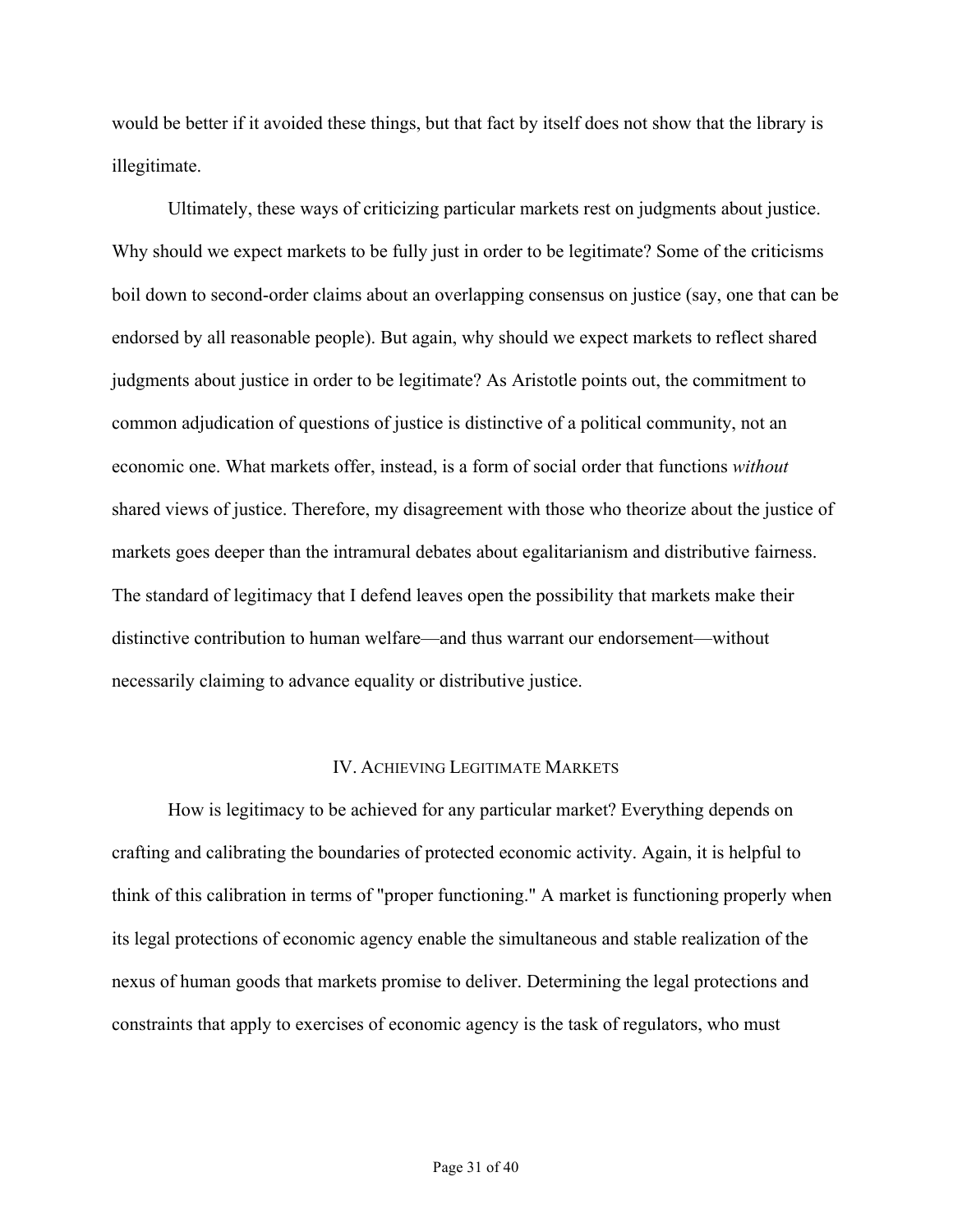would be better if it avoided these things, but that fact by itself does not show that the library is illegitimate.

Ultimately, these ways of criticizing particular markets rest on judgments about justice. Why should we expect markets to be fully just in order to be legitimate? Some of the criticisms boil down to second-order claims about an overlapping consensus on justice (say, one that can be endorsed by all reasonable people). But again, why should we expect markets to reflect shared judgments about justice in order to be legitimate? As Aristotle points out, the commitment to common adjudication of questions of justice is distinctive of a political community, not an economic one. What markets offer, instead, is a form of social order that functions *without* shared views of justice. Therefore, my disagreement with those who theorize about the justice of markets goes deeper than the intramural debates about egalitarianism and distributive fairness. The standard of legitimacy that I defend leaves open the possibility that markets make their distinctive contribution to human welfare—and thus warrant our endorsement—without necessarily claiming to advance equality or distributive justice.

## IV. ACHIEVING LEGITIMATE MARKETS

How is legitimacy to be achieved for any particular market? Everything depends on crafting and calibrating the boundaries of protected economic activity. Again, it is helpful to think of this calibration in terms of "proper functioning." A market is functioning properly when its legal protections of economic agency enable the simultaneous and stable realization of the nexus of human goods that markets promise to deliver. Determining the legal protections and constraints that apply to exercises of economic agency is the task of regulators, who must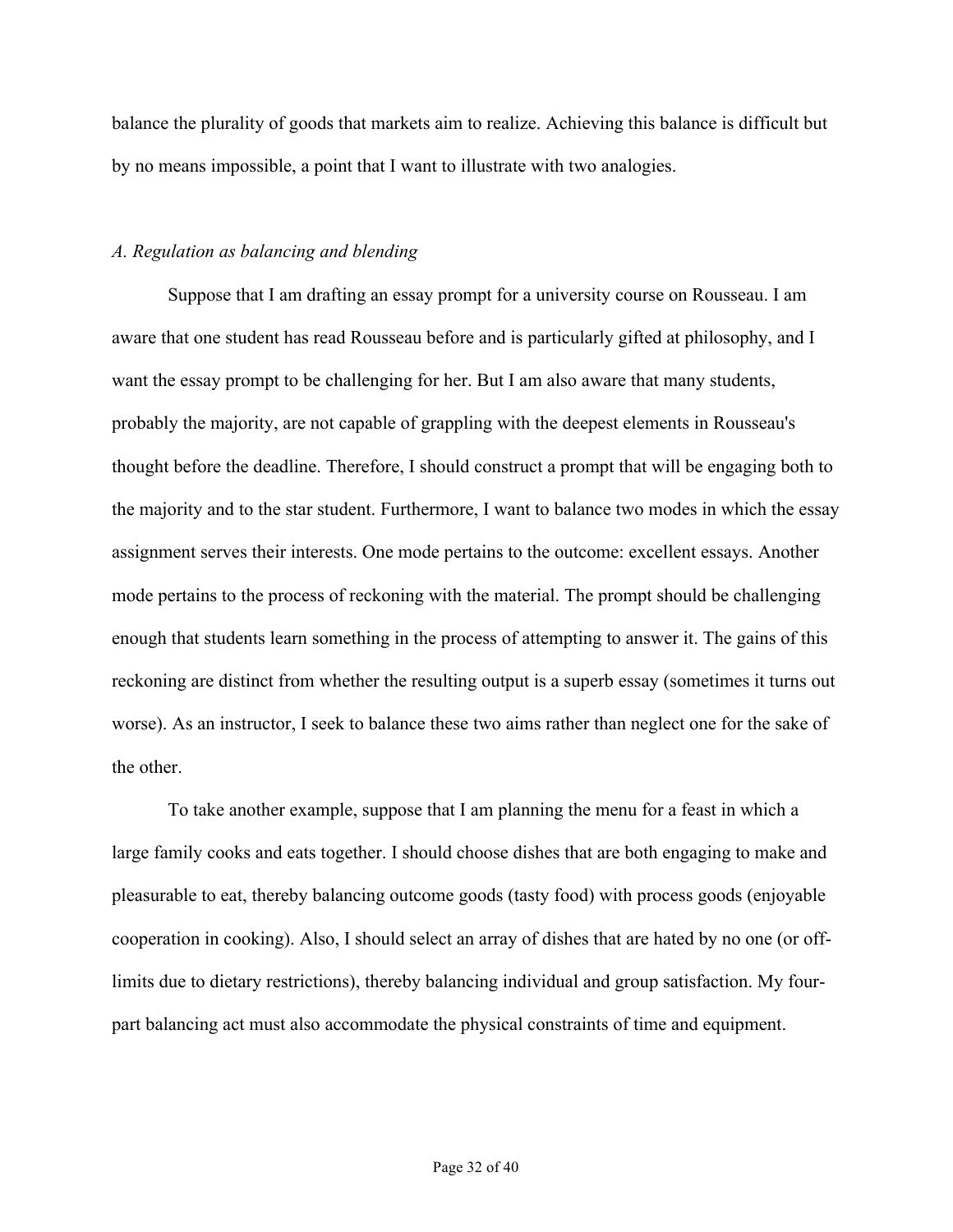balance the plurality of goods that markets aim to realize. Achieving this balance is difficult but by no means impossible, a point that I want to illustrate with two analogies.

### *A. Regulation as balancing and blending*

Suppose that I am drafting an essay prompt for a university course on Rousseau. I am aware that one student has read Rousseau before and is particularly gifted at philosophy, and I want the essay prompt to be challenging for her. But I am also aware that many students, probably the majority, are not capable of grappling with the deepest elements in Rousseau's thought before the deadline. Therefore, I should construct a prompt that will be engaging both to the majority and to the star student. Furthermore, I want to balance two modes in which the essay assignment serves their interests. One mode pertains to the outcome: excellent essays. Another mode pertains to the process of reckoning with the material. The prompt should be challenging enough that students learn something in the process of attempting to answer it. The gains of this reckoning are distinct from whether the resulting output is a superb essay (sometimes it turns out worse). As an instructor, I seek to balance these two aims rather than neglect one for the sake of the other.

To take another example, suppose that I am planning the menu for a feast in which a large family cooks and eats together. I should choose dishes that are both engaging to make and pleasurable to eat, thereby balancing outcome goods (tasty food) with process goods (enjoyable cooperation in cooking). Also, I should select an array of dishes that are hated by no one (or offlimits due to dietary restrictions), thereby balancing individual and group satisfaction. My fourpart balancing act must also accommodate the physical constraints of time and equipment.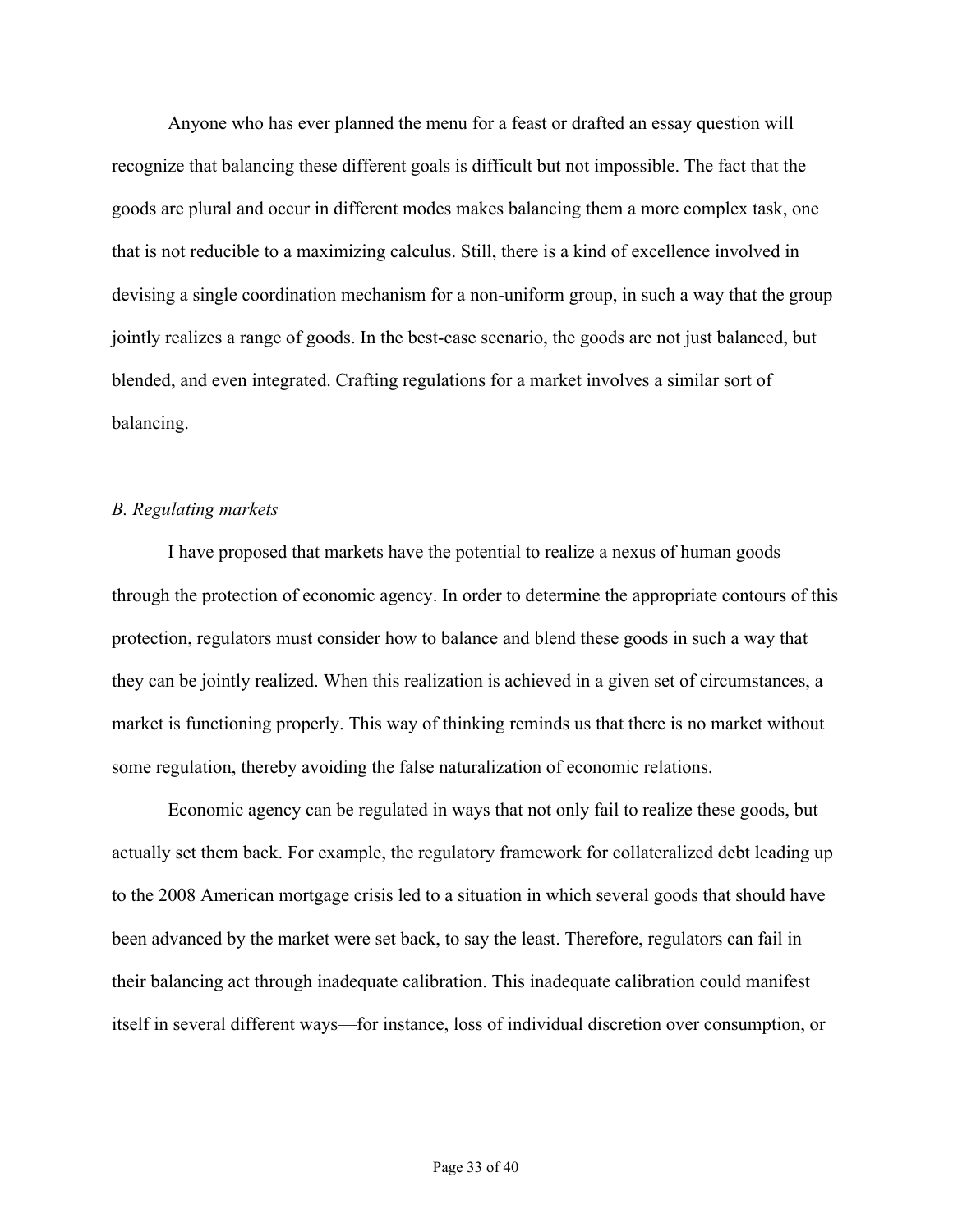Anyone who has ever planned the menu for a feast or drafted an essay question will recognize that balancing these different goals is difficult but not impossible. The fact that the goods are plural and occur in different modes makes balancing them a more complex task, one that is not reducible to a maximizing calculus. Still, there is a kind of excellence involved in devising a single coordination mechanism for a non-uniform group, in such a way that the group jointly realizes a range of goods. In the best-case scenario, the goods are not just balanced, but blended, and even integrated. Crafting regulations for a market involves a similar sort of balancing.

## *B. Regulating markets*

I have proposed that markets have the potential to realize a nexus of human goods through the protection of economic agency. In order to determine the appropriate contours of this protection, regulators must consider how to balance and blend these goods in such a way that they can be jointly realized. When this realization is achieved in a given set of circumstances, a market is functioning properly. This way of thinking reminds us that there is no market without some regulation, thereby avoiding the false naturalization of economic relations.

Economic agency can be regulated in ways that not only fail to realize these goods, but actually set them back. For example, the regulatory framework for collateralized debt leading up to the 2008 American mortgage crisis led to a situation in which several goods that should have been advanced by the market were set back, to say the least. Therefore, regulators can fail in their balancing act through inadequate calibration. This inadequate calibration could manifest itself in several different ways—for instance, loss of individual discretion over consumption, or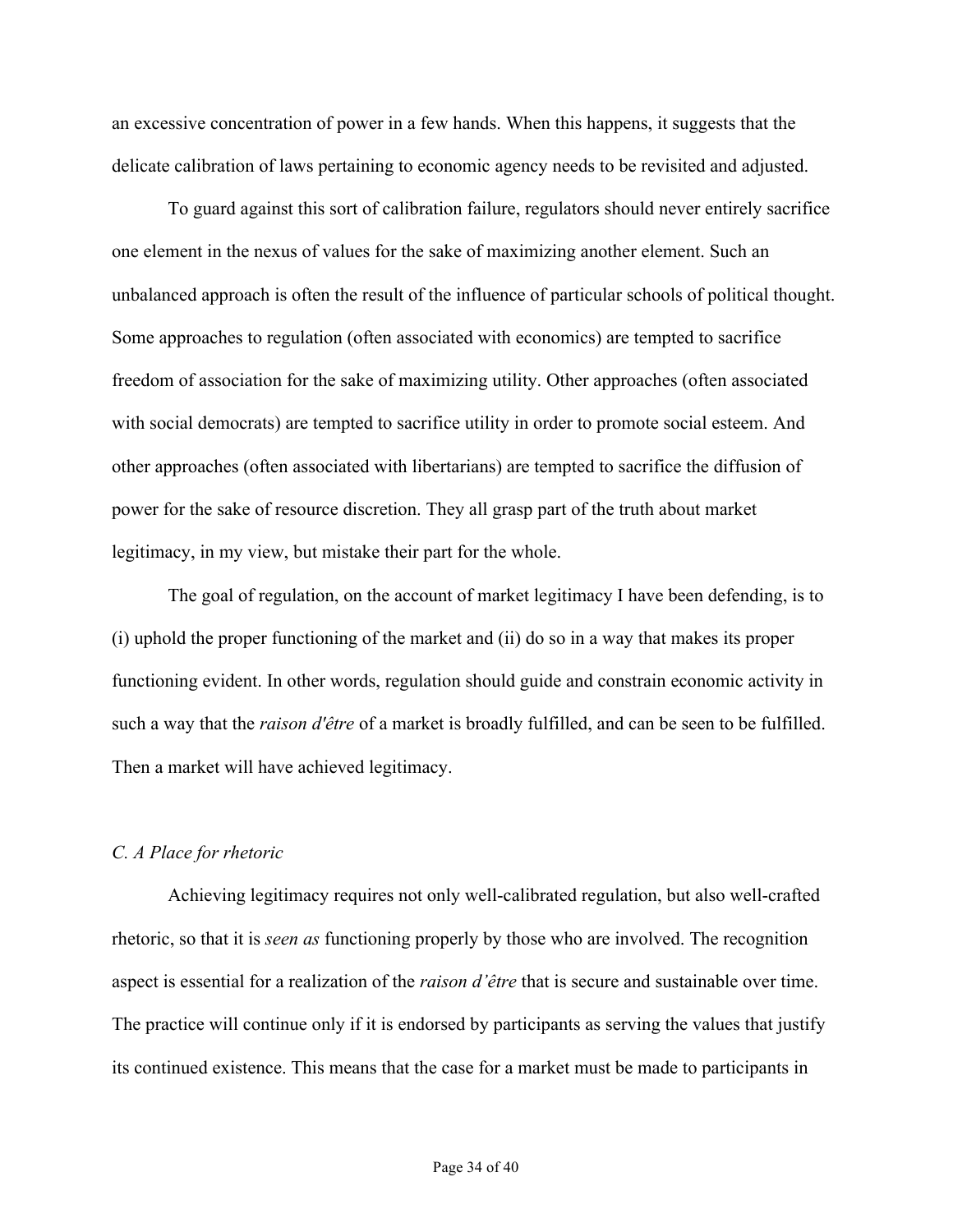an excessive concentration of power in a few hands. When this happens, it suggests that the delicate calibration of laws pertaining to economic agency needs to be revisited and adjusted.

To guard against this sort of calibration failure, regulators should never entirely sacrifice one element in the nexus of values for the sake of maximizing another element. Such an unbalanced approach is often the result of the influence of particular schools of political thought. Some approaches to regulation (often associated with economics) are tempted to sacrifice freedom of association for the sake of maximizing utility. Other approaches (often associated with social democrats) are tempted to sacrifice utility in order to promote social esteem. And other approaches (often associated with libertarians) are tempted to sacrifice the diffusion of power for the sake of resource discretion. They all grasp part of the truth about market legitimacy, in my view, but mistake their part for the whole.

The goal of regulation, on the account of market legitimacy I have been defending, is to (i) uphold the proper functioning of the market and (ii) do so in a way that makes its proper functioning evident. In other words, regulation should guide and constrain economic activity in such a way that the *raison d'être* of a market is broadly fulfilled, and can be seen to be fulfilled. Then a market will have achieved legitimacy.

### *C. A Place for rhetoric*

Achieving legitimacy requires not only well-calibrated regulation, but also well-crafted rhetoric, so that it is *seen as* functioning properly by those who are involved. The recognition aspect is essential for a realization of the *raison d'être* that is secure and sustainable over time. The practice will continue only if it is endorsed by participants as serving the values that justify its continued existence. This means that the case for a market must be made to participants in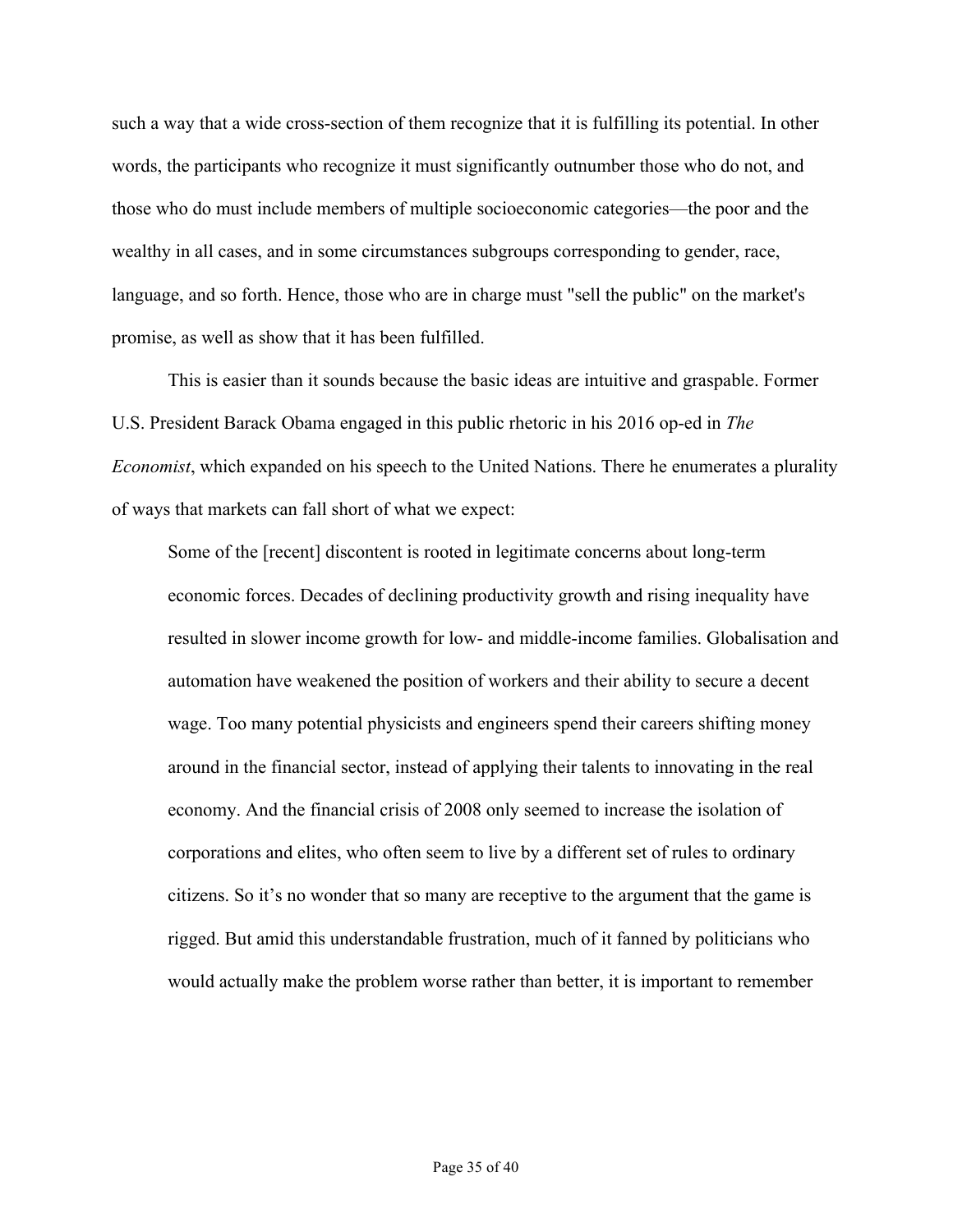such a way that a wide cross-section of them recognize that it is fulfilling its potential. In other words, the participants who recognize it must significantly outnumber those who do not, and those who do must include members of multiple socioeconomic categories—the poor and the wealthy in all cases, and in some circumstances subgroups corresponding to gender, race, language, and so forth. Hence, those who are in charge must "sell the public" on the market's promise, as well as show that it has been fulfilled.

This is easier than it sounds because the basic ideas are intuitive and graspable. Former U.S. President Barack Obama engaged in this public rhetoric in his 2016 op-ed in *The Economist*, which expanded on his speech to the United Nations. There he enumerates a plurality of ways that markets can fall short of what we expect:

Some of the [recent] discontent is rooted in legitimate concerns about long-term economic forces. Decades of declining productivity growth and rising inequality have resulted in slower income growth for low- and middle-income families. Globalisation and automation have weakened the position of workers and their ability to secure a decent wage. Too many potential physicists and engineers spend their careers shifting money around in the financial sector, instead of applying their talents to innovating in the real economy. And the financial crisis of 2008 only seemed to increase the isolation of corporations and elites, who often seem to live by a different set of rules to ordinary citizens. So it's no wonder that so many are receptive to the argument that the game is rigged. But amid this understandable frustration, much of it fanned by politicians who would actually make the problem worse rather than better, it is important to remember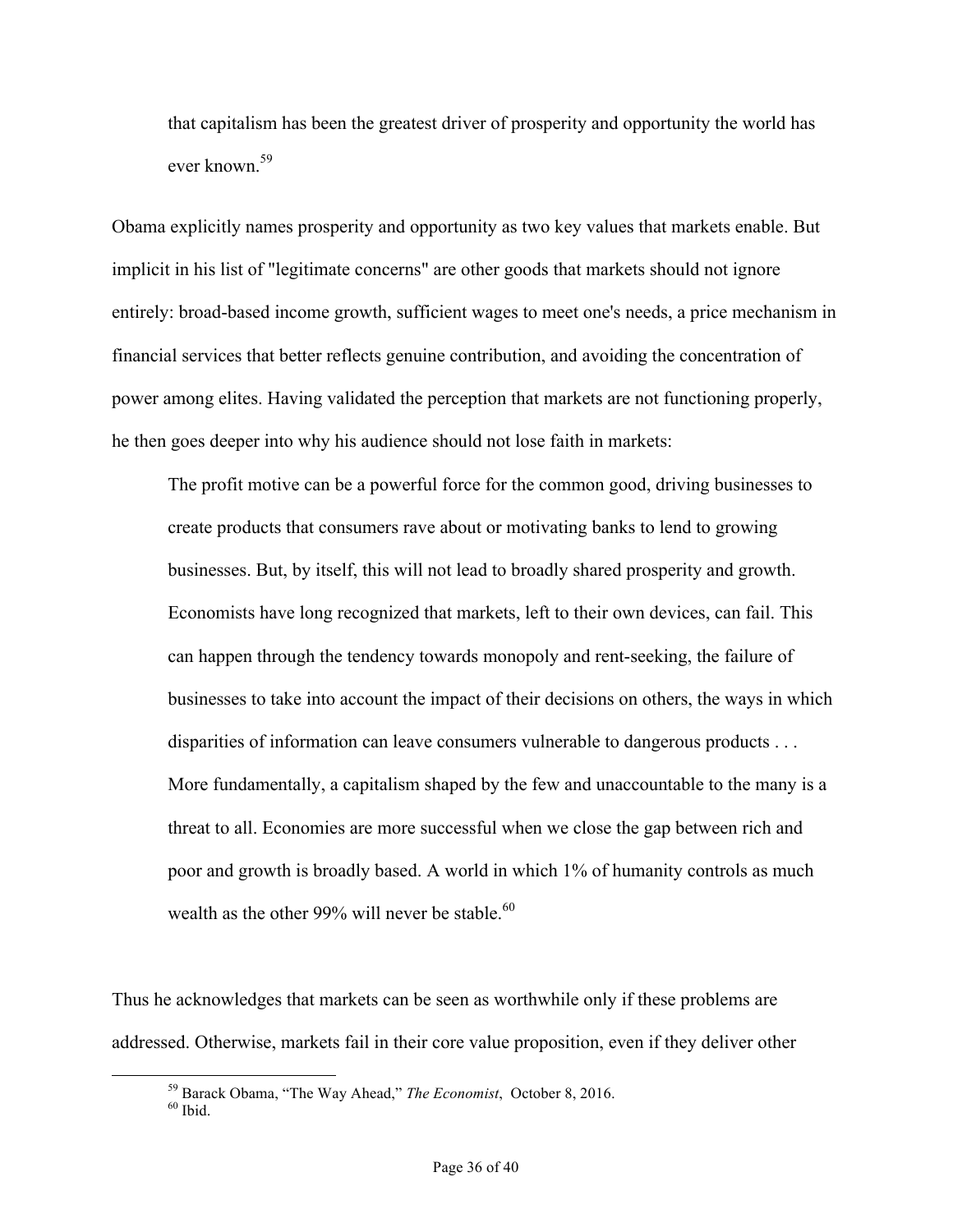that capitalism has been the greatest driver of prosperity and opportunity the world has ever known<sup>59</sup>

Obama explicitly names prosperity and opportunity as two key values that markets enable. But implicit in his list of "legitimate concerns" are other goods that markets should not ignore entirely: broad-based income growth, sufficient wages to meet one's needs, a price mechanism in financial services that better reflects genuine contribution, and avoiding the concentration of power among elites. Having validated the perception that markets are not functioning properly, he then goes deeper into why his audience should not lose faith in markets:

The profit motive can be a powerful force for the common good, driving businesses to create products that consumers rave about or motivating banks to lend to growing businesses. But, by itself, this will not lead to broadly shared prosperity and growth. Economists have long recognized that markets, left to their own devices, can fail. This can happen through the tendency towards monopoly and rent-seeking, the failure of businesses to take into account the impact of their decisions on others, the ways in which disparities of information can leave consumers vulnerable to dangerous products . . . More fundamentally, a capitalism shaped by the few and unaccountable to the many is a threat to all. Economies are more successful when we close the gap between rich and poor and growth is broadly based. A world in which 1% of humanity controls as much wealth as the other 99% will never be stable. $^{60}$ 

Thus he acknowledges that markets can be seen as worthwhile only if these problems are addressed. Otherwise, markets fail in their core value proposition, even if they deliver other

<sup>&</sup>lt;sup>59</sup> Barack Obama, "The Way Ahead," *The Economist*, October 8, 2016.<br><sup>60</sup> Ibid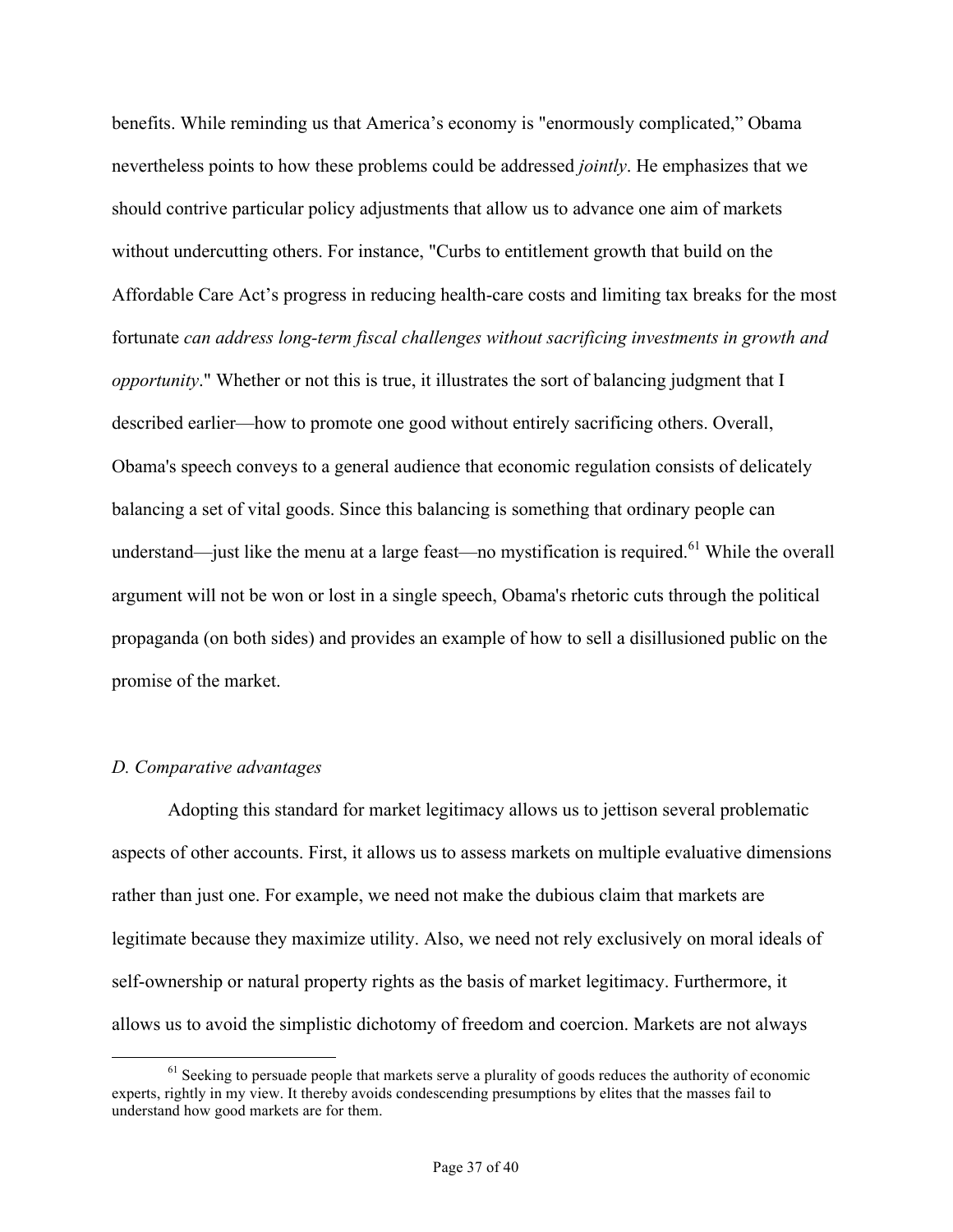benefits. While reminding us that America's economy is "enormously complicated," Obama nevertheless points to how these problems could be addressed *jointly*. He emphasizes that we should contrive particular policy adjustments that allow us to advance one aim of markets without undercutting others. For instance, "Curbs to entitlement growth that build on the Affordable Care Act's progress in reducing health-care costs and limiting tax breaks for the most fortunate *can address long-term fiscal challenges without sacrificing investments in growth and opportunity*." Whether or not this is true, it illustrates the sort of balancing judgment that I described earlier—how to promote one good without entirely sacrificing others. Overall, Obama's speech conveys to a general audience that economic regulation consists of delicately balancing a set of vital goods. Since this balancing is something that ordinary people can understand—just like the menu at a large feast—no mystification is required.<sup>61</sup> While the overall argument will not be won or lost in a single speech, Obama's rhetoric cuts through the political propaganda (on both sides) and provides an example of how to sell a disillusioned public on the promise of the market.

#### *D. Comparative advantages*

Adopting this standard for market legitimacy allows us to jettison several problematic aspects of other accounts. First, it allows us to assess markets on multiple evaluative dimensions rather than just one. For example, we need not make the dubious claim that markets are legitimate because they maximize utility. Also, we need not rely exclusively on moral ideals of self-ownership or natural property rights as the basis of market legitimacy. Furthermore, it allows us to avoid the simplistic dichotomy of freedom and coercion. Markets are not always

 $<sup>61</sup>$  Seeking to persuade people that markets serve a plurality of goods reduces the authority of economic</sup> experts, rightly in my view. It thereby avoids condescending presumptions by elites that the masses fail to understand how good markets are for them.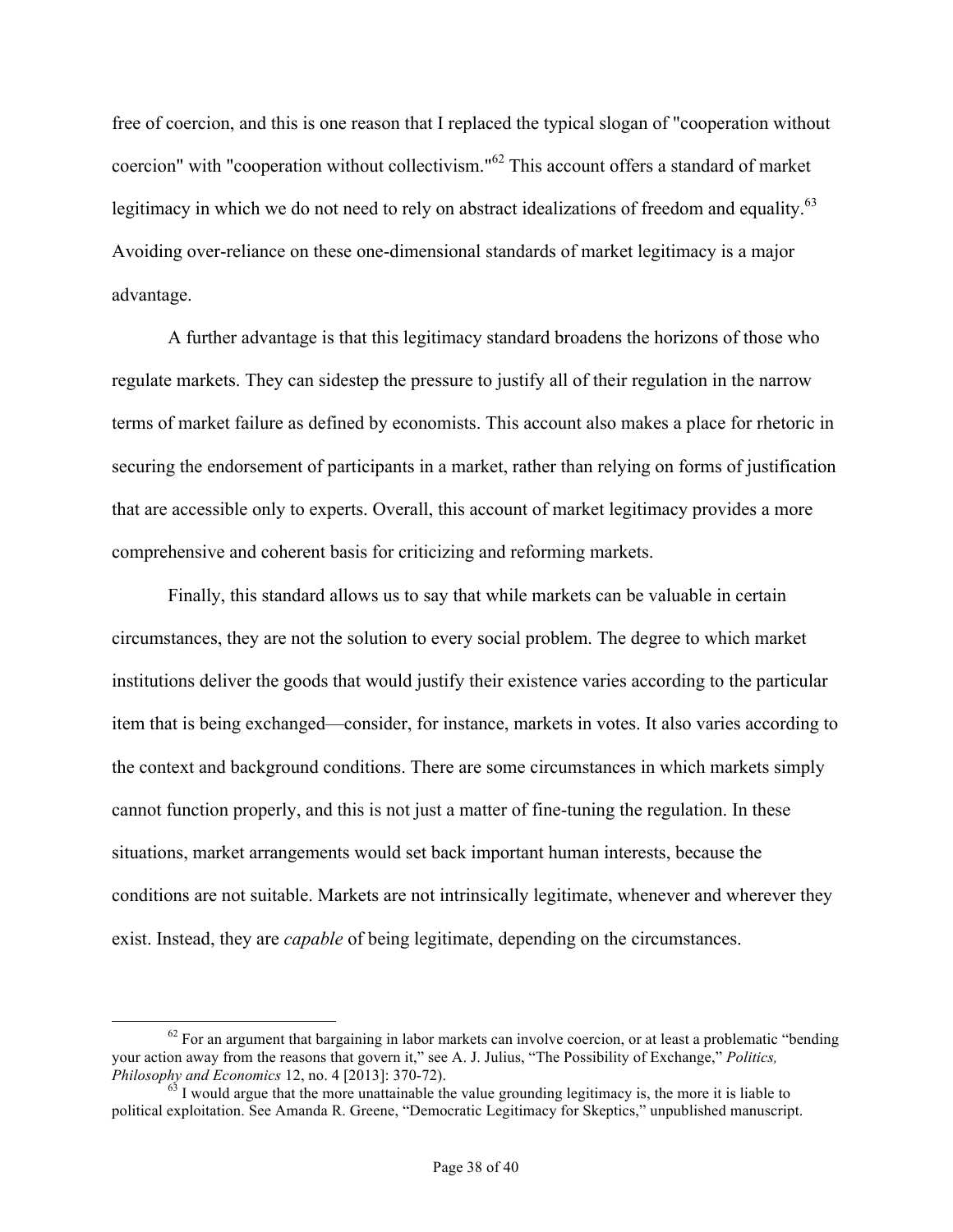free of coercion, and this is one reason that I replaced the typical slogan of "cooperation without coercion" with "cooperation without collectivism."<sup>62</sup> This account offers a standard of market legitimacy in which we do not need to rely on abstract idealizations of freedom and equality.<sup>63</sup> Avoiding over-reliance on these one-dimensional standards of market legitimacy is a major advantage.

A further advantage is that this legitimacy standard broadens the horizons of those who regulate markets. They can sidestep the pressure to justify all of their regulation in the narrow terms of market failure as defined by economists. This account also makes a place for rhetoric in securing the endorsement of participants in a market, rather than relying on forms of justification that are accessible only to experts. Overall, this account of market legitimacy provides a more comprehensive and coherent basis for criticizing and reforming markets.

Finally, this standard allows us to say that while markets can be valuable in certain circumstances, they are not the solution to every social problem. The degree to which market institutions deliver the goods that would justify their existence varies according to the particular item that is being exchanged—consider, for instance, markets in votes. It also varies according to the context and background conditions. There are some circumstances in which markets simply cannot function properly, and this is not just a matter of fine-tuning the regulation. In these situations, market arrangements would set back important human interests, because the conditions are not suitable. Markets are not intrinsically legitimate, whenever and wherever they exist. Instead, they are *capable* of being legitimate, depending on the circumstances.

 $62$  For an argument that bargaining in labor markets can involve coercion, or at least a problematic "bending your action away from the reasons that govern it," see A. J. Julius, "The Possibility of Exchange," *Politics, Philosophy and Economics* 12, no. 4 [2013]: 370-72).<br><sup>63</sup> I would argue that the more unattainable the value grounding legitimacy is, the more it is liable to

political exploitation. See Amanda R. Greene, "Democratic Legitimacy for Skeptics," unpublished manuscript.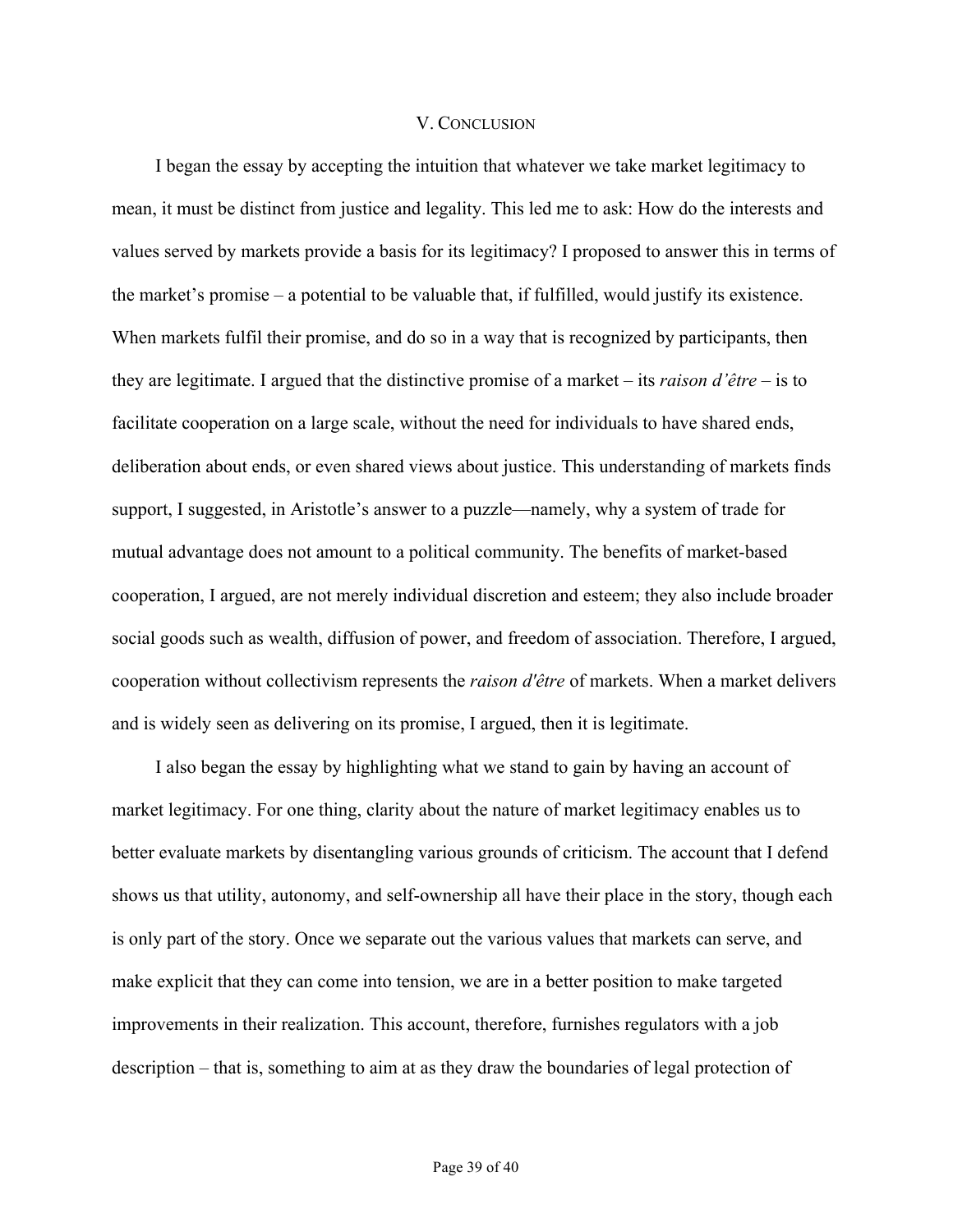### V. CONCLUSION

I began the essay by accepting the intuition that whatever we take market legitimacy to mean, it must be distinct from justice and legality. This led me to ask: How do the interests and values served by markets provide a basis for its legitimacy? I proposed to answer this in terms of the market's promise – a potential to be valuable that, if fulfilled, would justify its existence. When markets fulfil their promise, and do so in a way that is recognized by participants, then they are legitimate. I argued that the distinctive promise of a market – its *raison d'être* – is to facilitate cooperation on a large scale, without the need for individuals to have shared ends, deliberation about ends, or even shared views about justice. This understanding of markets finds support, I suggested, in Aristotle's answer to a puzzle—namely, why a system of trade for mutual advantage does not amount to a political community. The benefits of market-based cooperation, I argued, are not merely individual discretion and esteem; they also include broader social goods such as wealth, diffusion of power, and freedom of association. Therefore, I argued, cooperation without collectivism represents the *raison d'être* of markets. When a market delivers and is widely seen as delivering on its promise, I argued, then it is legitimate.

I also began the essay by highlighting what we stand to gain by having an account of market legitimacy. For one thing, clarity about the nature of market legitimacy enables us to better evaluate markets by disentangling various grounds of criticism. The account that I defend shows us that utility, autonomy, and self-ownership all have their place in the story, though each is only part of the story. Once we separate out the various values that markets can serve, and make explicit that they can come into tension, we are in a better position to make targeted improvements in their realization. This account, therefore, furnishes regulators with a job description – that is, something to aim at as they draw the boundaries of legal protection of